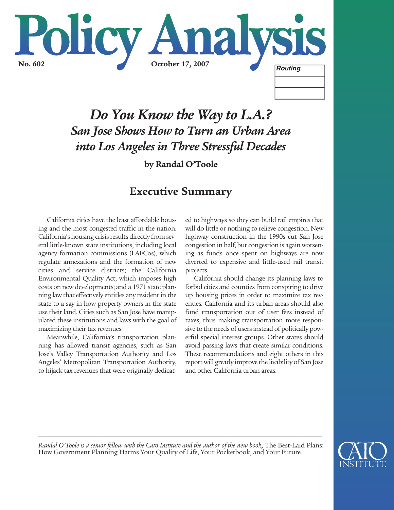

# *Do You Know the Way to L.A.? San Jose Shows How to Turn an Urban Area into Los Angeles in Three Stressful Decades*

**by Randal O'Toole**

## **Executive Summary**

California cities have the least affordable housing and the most congested traffic in the nation. California's housing crisis results directly from several little-known state institutions, including local agency formation commissions (LAFCos), which regulate annexations and the formation of new cities and service districts; the California Environmental Quality Act, which imposes high costs on new developments; and a 1971 state planning law that effectively entitles any resident in the state to a say in how property owners in the state use their land. Cities such as San Jose have manipulated these institutions and laws with the goal of maximizing their tax revenues.

Meanwhile, California's transportation planning has allowed transit agencies, such as San Jose's Valley Transportation Authority and Los Angeles' Metropolitan Transportation Authority, to hijack tax revenues that were originally dedicated to highways so they can build rail empires that will do little or nothing to relieve congestion. New highway construction in the 1990s cut San Jose congestion in half, but congestion is again worsening as funds once spent on highways are now diverted to expensive and little-used rail transit projects.

California should change its planning laws to forbid cities and counties from conspiring to drive up housing prices in order to maximize tax revenues. California and its urban areas should also fund transportation out of user fees instead of taxes, thus making transportation more responsive to the needs of users instead of politically powerful special interest groups. Other states should avoid passing laws that create similar conditions. These recommendations and eight others in this report will greatly improve the livability of San Jose and other California urban areas.

*Randal O'Toole is a senior fellow with the Cato Institute and the author of the new book*, The Best-Laid Plans: How Government Planning Harms Your Quality of Life, Your Pocketbook, and Your Future*.* 

*\_\_\_\_\_\_\_\_\_\_\_\_\_\_\_\_\_\_\_\_\_\_\_\_\_\_\_\_\_\_\_\_\_\_\_\_\_\_\_\_\_\_\_\_\_\_\_\_\_\_\_\_\_\_\_\_\_\_\_\_\_\_\_\_\_\_\_\_\_\_\_\_\_\_\_\_\_\_\_\_\_\_\_\_\_\_\_\_\_\_\_\_\_\_\_\_\_\_\_\_\_*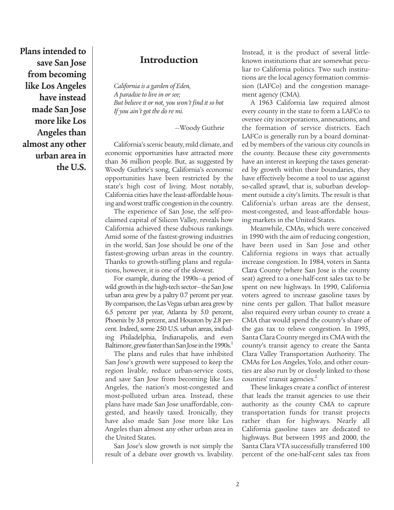**Plans intended to save San Jose from becoming like Los Angeles have instead made San Jose more like Los Angeles than almost any other urban area in the U.S.**

#### **Introduction**

*California is a garden of Eden, A paradise to live in or see; But believe it or not, you won't find it so hot If you ain't got the do re mi.*

—Woody Guthrie

California's scenic beauty, mild climate, and economic opportunities have attracted more than 36 million people. But, as suggested by Woody Guthrie's song, California's economic opportunities have been restricted by the state's high cost of living. Most notably, California cities have the least-affordable housing and worst traffic congestion in the country.

The experience of San Jose, the self-proclaimed capital of Silicon Valley, reveals how California achieved these dubious rankings. Amid some of the fastest-growing industries in the world, San Jose should be one of the fastest-growing urban areas in the country. Thanks to growth-stifling plans and regulations, however, it is one of the slowest.

For example, during the 1990s—a period of wild growth in the high-tech sector—the San Jose urban area grew by a paltry 0.7 percent per year. By comparison, the Las Vegas urban area grew by 6.5 percent per year, Atlanta by 5.0 percent, Phoenix by 3.8 percent, and Houston by 2.8 percent. Indeed, some 250 U.S. urban areas, including Philadelphia, Indianapolis, and even Baltimore, grew faster than San Jose in the 1990s.<sup>1</sup>

The plans and rules that have inhibited San Jose's growth were supposed to keep the region livable, reduce urban-service costs, and save San Jose from becoming like Los Angeles, the nation's most-congested and most-polluted urban area. Instead, these plans have made San Jose unaffordable, congested, and heavily taxed. Ironically, they have also made San Jose more like Los Angeles than almost any other urban area in the United States.

San Jose's slow growth is not simply the result of a debate over growth vs. livability. Instead, it is the product of several littleknown institutions that are somewhat peculiar to California politics. Two such institutions are the local agency formation commission (LAFCo) and the congestion management agency (CMA).

A 1963 California law required almost every county in the state to form a LAFCo to oversee city incorporations, annexations, and the formation of service districts. Each LAFCo is generally run by a board dominated by members of the various city councils in the county. Because these city governments have an interest in keeping the taxes generated by growth within their boundaries, they have effectively become a tool to use against so-called sprawl, that is, suburban development outside a city's limits. The result is that California's urban areas are the densest, most-congested, and least-affordable housing markets in the United States.

Meanwhile, CMAs, which were conceived in 1990 with the aim of reducing congestion, have been used in San Jose and other California regions in ways that actually increase congestion. In 1984, voters in Santa Clara County (where San Jose is the county seat) agreed to a one-half-cent sales tax to be spent on new highways. In 1990, California voters agreed to increase gasoline taxes by nine cents per gallon. That ballot measure also required every urban county to create a CMA that would spend the county's share of the gas tax to relieve congestion. In 1995, Santa Clara County merged its CMA with the county's transit agency to create the Santa Clara Valley Transportation Authority. The CMAs for Los Angeles, Yolo, and other counties are also run by or closely linked to those counties' transit agencies.<sup>2</sup>

These linkages create a conflict of interest that leads the transit agencies to use their authority as the county CMA to capture transportation funds for transit projects rather than for highways. Nearly all California gasoline taxes are dedicated to highways. But between 1995 and 2000, the Santa Clara VTA successfully transferred 100 percent of the one-half-cent sales tax from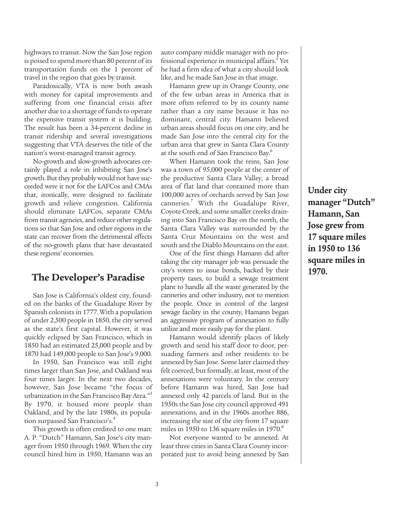highways to transit. Now the San Jose region is poised to spend more than 80 percent of its transportation funds on the 1 percent of travel in the region that goes by transit.

Paradoxically, VTA is now both awash with money for capital improvements and suffering from one financial crisis after another due to a shortage of funds to operate the expensive transit system it is building. The result has been a 34-percent decline in transit ridership and several investigations suggesting that VTA deserves the title of the nation's worst-managed transit agency.

No-growth and slow-growth advocates certainly played a role in inhibiting San Jose's growth. But they probably would not have succeeded were it not for the LAFCos and CMAs that, ironically, were designed to facilitate growth and relieve congestion. California should eliminate LAFCos, separate CMAs from transit agencies, and reduce other regulations so that San Jose and other regions in the state can recover from the detrimental effects of the no-growth plans that have devastated these regions' economies.

#### **The Developer's Paradise**

San Jose is California's oldest city, founded on the banks of the Guadalupe River by Spanish colonists in 1777. With a population of under 2,500 people in 1850, the city served as the state's first capital. However, it was quickly eclipsed by San Francisco, which in 1850 had an estimated 25,000 people and by 1870 had 149,000 people to San Jose's 9,000.

In 1950, San Francisco was still eight times larger than San Jose, and Oakland was four times larger. In the next two decades, however, San Jose became "the focus of urbanization in the San Francisco Bay Area."<sup>3</sup> By 1970, it housed more people than Oakland, and by the late 1980s, its population surpassed San Francisco's.4

This growth is often credited to one man: A. P. "Dutch" Hamann, San Jose's city manager from 1950 through 1969. When the city council hired him in 1950, Hamann was an auto company middle manager with no professional experience in municipal affairs.<sup>5</sup> Yet he had a firm idea of what a city should look like, and he made San Jose in that image.

Hamann grew up in Orange County, one of the few urban areas in America that is more often referred to by its county name rather than a city name because it has no dominant, central city. Hamann believed urban areas should focus on one city, and he made San Jose into the central city for the urban area that grew in Santa Clara County at the south end of San Francisco Bay.<sup>6</sup>

When Hamann took the reins, San Jose was a town of 95,000 people at the center of the productive Santa Clara Valley, a broad area of flat land that contained more than 100,000 acres of orchards served by San Jose canneries.<sup>7</sup> With the Guadalupe River, Coyote Creek, and some smaller creeks draining into San Francisco Bay on the north, the Santa Clara Valley was surrounded by the Santa Cruz Mountains on the west and south and the Diablo Mountains on the east.

One of the first things Hamann did after taking the city manager job was persuade the city's voters to issue bonds, backed by their property taxes, to build a sewage treatment plant to handle all the waste generated by the canneries and other industry, not to mention the people. Once in control of the largest sewage facility in the county, Hamann began an aggressive program of annexation to fully utilize and more easily pay for the plant.

Hamann would identify places of likely growth and send his staff door to door, persuading farmers and other residents to be annexed by San Jose. Some later claimed they felt coerced, but formally, at least, most of the annexations were voluntary. In the century before Hamann was hired, San Jose had annexed only 42 parcels of land. But in the 1950s the San Jose city council approved 491 annexations, and in the 1960s another 886, increasing the size of the city from 17 square miles in 1950 to 136 square miles in 1970. $8$ 

Not everyone wanted to be annexed. At least three cities in Santa Clara County incorporated just to avoid being annexed by San

**Under city manager "Dutch" Hamann, San Jose grew from 17 square miles in 1950 to 136 square miles in 1970.**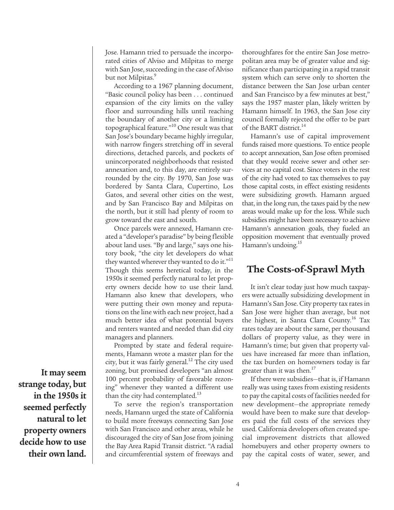Jose. Hamann tried to persuade the incorporated cities of Alviso and Milpitas to merge with San Jose, succeeding in the case of Alviso but not Milpitas.<sup>9</sup>

According to a 1967 planning document, "Basic council policy has been . . . continued expansion of the city limits on the valley floor and surrounding hills until reaching the boundary of another city or a limiting topographical feature."10 One result was that San Jose's boundary became highly irregular, with narrow fingers stretching off in several directions, detached parcels, and pockets of unincorporated neighborhoods that resisted annexation and, to this day, are entirely surrounded by the city. By 1970, San Jose was bordered by Santa Clara, Cupertino, Los Gatos, and several other cities on the west, and by San Francisco Bay and Milpitas on the north, but it still had plenty of room to grow toward the east and south.

Once parcels were annexed, Hamann created a "developer's paradise" by being flexible about land uses. "By and large," says one history book, "the city let developers do what they wanted wherever they wanted to do it."<sup>11</sup> Though this seems heretical today, in the 1950s it seemed perfectly natural to let property owners decide how to use their land. Hamann also knew that developers, who were putting their own money and reputations on the line with each new project, had a much better idea of what potential buyers and renters wanted and needed than did city managers and planners.

Prompted by state and federal requirements, Hamann wrote a master plan for the city, but it was fairly general.<sup>12</sup> The city used zoning, but promised developers "an almost 100 percent probability of favorable rezoning" whenever they wanted a different use than the city had contemplated.<sup>13</sup>

To serve the region's transportation needs, Hamann urged the state of California to build more freeways connecting San Jose with San Francisco and other areas, while he discouraged the city of San Jose from joining the Bay Area Rapid Transit district. "A radial and circumferential system of freeways and

thoroughfares for the entire San Jose metropolitan area may be of greater value and significance than participating in a rapid transit system which can serve only to shorten the distance between the San Jose urban center and San Francisco by a few minutes at best," says the 1957 master plan, likely written by Hamann himself. In 1963, the San Jose city council formally rejected the offer to be part of the BART district.<sup>14</sup>

Hamann's use of capital improvement funds raised more questions. To entice people to accept annexation, San Jose often promised that they would receive sewer and other services at no capital cost. Since voters in the rest of the city had voted to tax themselves to pay those capital costs, in effect existing residents were subsidizing growth. Hamann argued that, in the long run, the taxes paid by the new areas would make up for the loss. While such subsidies might have been necessary to achieve Hamann's annexation goals, they fueled an opposition movement that eventually proved Hamann's undoing.15

#### **The Costs-of-Sprawl Myth**

It isn't clear today just how much taxpayers were actually subsidizing development in Hamann's San Jose. City property tax rates in San Jose were higher than average, but not the highest, in Santa Clara County.<sup>16</sup> Tax rates today are about the same, per thousand dollars of property value, as they were in Hamann's time; but given that property values have increased far more than inflation, the tax burden on homeowners today is far greater than it was then.<sup>17</sup>

If there were subsidies—that is, if Hamann really was using taxes from existing residents to pay the capital costs of facilities needed for new development—the appropriate remedy would have been to make sure that developers paid the full costs of the services they used. California developers often created special improvement districts that allowed homebuyers and other property owners to pay the capital costs of water, sewer, and

**It may seem strange today, but in the 1950s it seemed perfectly natural to let property owners decide how to use their own land.**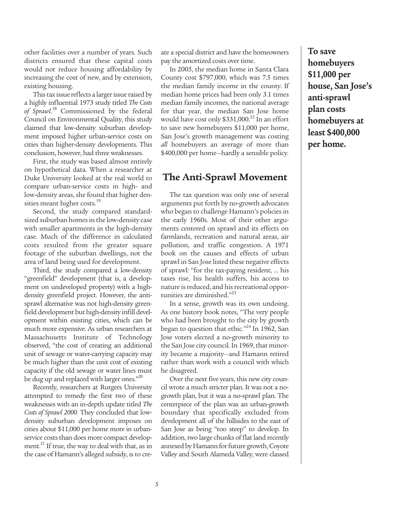other facilities over a number of years. Such districts ensured that these capital costs would not reduce housing affordability by increasing the cost of new, and by extension, existing housing.

This tax issue reflects a larger issue raised by a highly influential 1973 study titled *The Costs of Sprawl.*<sup>18</sup> Commissioned by the federal Council on Environmental Quality, this study claimed that low-density suburban development imposed higher urban-service costs on cities than higher-density developments. This conclusion, however, had three weaknesses.

First, the study was based almost entirely on hypothetical data. When a researcher at Duke University looked at the real world to compare urban-service costs in high- and low-density areas, she found that higher densities meant higher costs.<sup>19</sup>

Second, the study compared standardsized suburban homes in the low-density case with smaller apartments in the high-density case. Much of the difference in calculated costs resulted from the greater square footage of the suburban dwellings, not the area of land being used for development.

Third, the study compared a low-density "greenfield" development (that is, a development on undeveloped property) with a highdensity greenfield project. However, the antisprawl alternative was not high-density greenfield development but high-density infill development within existing cities, which can be much more expensive. As urban researchers at Massachusetts Institute of Technology observed, "the cost of creating an additional unit of sewage or water-carrying capacity may be much higher than the unit cost of existing capacity if the old sewage or water lines must be dug up and replaced with larger ones."<sup>20</sup>

Recently, researchers at Rutgers University attempted to remedy the first two of these weaknesses with an in-depth update titled *The Costs of Sprawl 2000.* They concluded that lowdensity suburban development imposes on cities about \$11,000 per home more in urbanservice costs than does more compact development. $^{21}$  If true, the way to deal with that, as in the case of Hamann's alleged subsidy, is to create a special district and have the homeowners pay the amortized costs over time.

In 2005, the median home in Santa Clara County cost \$797,000, which was 7.5 times the median family income in the county. If median home prices had been only 3.1 times median family incomes, the national average for that year, the median San Jose home would have cost only  $$331,000.<sup>22</sup>$  In an effort to save new homebuyers \$11,000 per home, San Jose's growth management was costing *all* homebuyers an average of more than \$400,000 per home—hardly a sensible policy.

#### **The Anti-Sprawl Movement**

The tax question was only one of several arguments put forth by no-growth advocates who began to challenge Hamann's policies in the early 1960s. Most of their other arguments centered on sprawl and its effects on farmlands, recreation and natural areas, air pollution, and traffic congestion. A 1971 book on the causes and effects of urban sprawl in San Jose listed these negative effects of sprawl: "for the tax-paying resident, ... his taxes rise, his health suffers, his access to nature is reduced, and his recreational opportunities are diminished."<sup>23</sup>

In a sense, growth was its own undoing. As one history book notes, "The very people who had been brought to the city by growth began to question that ethic."<sup>24</sup> In 1962, San Jose voters elected a no-growth minority to the San Jose city council. In 1969, that minority became a majority—and Hamann retired rather than work with a council with which he disagreed.

Over the next five years, this new city council wrote a much stricter plan. It was not a nogrowth plan, but it was a no-sprawl plan. The centerpiece of the plan was an urban-growth boundary that specifically excluded from development all of the hillsides to the east of San Jose as being "too steep" to develop. In addition, two large chunks of flat land recently annexed by Hamann for future growth, Coyote Valley and South Alameda Valley, were classed

**To save homebuyers \$11,000 per house, San Jose's anti-sprawl plan costs homebuyers at least \$400,000 per home.**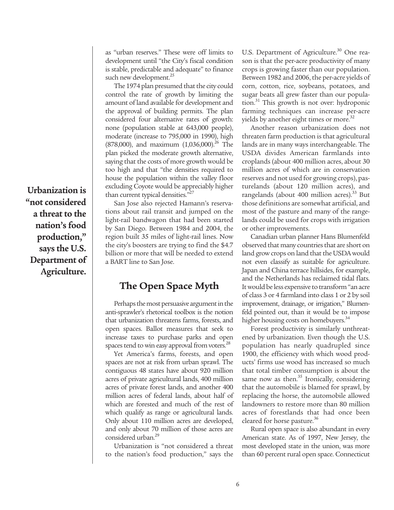**Urbanization is "not considered a threat to the nation's food production," says the U.S. Department of Agriculture.**

as "urban reserves." These were off limits to development until "the City's fiscal condition is stable, predictable and adequate" to finance such new development.<sup>25</sup>

The 1974 plan presumed that the city could control the rate of growth by limiting the amount of land available for development and the approval of building permits. The plan considered four alternative rates of growth: none (population stable at 643,000 people), moderate (increase to 795,000 in 1990), high  $(878,000)$ , and maximum  $(1,036,000)$ <sup>26</sup> The plan picked the moderate growth alternative, saying that the costs of more growth would be too high and that "the densities required to house the population within the valley floor excluding Coyote would be appreciably higher than current typical densities."<sup>27</sup>

San Jose also rejected Hamann's reservations about rail transit and jumped on the light-rail bandwagon that had been started by San Diego. Between 1984 and 2004, the region built 35 miles of light-rail lines. Now the city's boosters are trying to find the \$4.7 billion or more that will be needed to extend a BART line to San Jose.

#### **The Open Space Myth**

Perhaps the most persuasive argument in the anti-sprawler's rhetorical toolbox is the notion that urbanization threatens farms, forests, and open spaces. Ballot measures that seek to increase taxes to purchase parks and open spaces tend to win easy approval from voters.<sup>28</sup>

Yet America's farms, forests, and open spaces are not at risk from urban sprawl. The contiguous 48 states have about 920 million acres of private agricultural lands, 400 million acres of private forest lands, and another 400 million acres of federal lands, about half of which are forested and much of the rest of which qualify as range or agricultural lands. Only about 110 million acres are developed, and only about 70 million of those acres are considered urban.<sup>29</sup>

Urbanization is "not considered a threat to the nation's food production," says the U.S. Department of Agriculture.<sup>30</sup> One reason is that the per-acre productivity of many crops is growing faster than our population. Between 1982 and 2006, the per-acre yields of corn, cotton, rice, soybeans, potatoes, and sugar beats all grew faster than our population.<sup>31</sup> This growth is not over: hydroponic farming techniques can increase per-acre yields by another eight times or more.<sup>32</sup>

Another reason urbanization does not threaten farm production is that agricultural lands are in many ways interchangeable. The USDA divides American farmlands into croplands (about 400 million acres, about 30 million acres of which are in conservation reserves and not used for growing crops), pasturelands (about 120 million acres), and rangelands (about 400 million acres). $^{33}$  But those definitions are somewhat artificial, and most of the pasture and many of the rangelands could be used for crops with irrigation or other improvements.

Canadian urban planner Hans Blumenfeld observed that many countries that are short on land grow crops on land that the USDA would not even classify as suitable for agriculture. Japan and China terrace hillsides, for example, and the Netherlands has reclaimed tidal flats. It would be less expensive to transform "an acre of class 3 or 4 farmland into class 1 or 2 by soil improvement, drainage, or irrigation," Blumenfeld pointed out, than it would be to impose higher housing costs on homebuyers.<sup>34</sup>

Forest productivity is similarly unthreatened by urbanization. Even though the U.S. population has nearly quadrupled since 1900, the efficiency with which wood products' firms use wood has increased so much that total timber consumption is about the same now as then. $35$  Ironically, considering that the automobile is blamed for sprawl, by replacing the horse, the automobile allowed landowners to restore more than 80 million acres of forestlands that had once been cleared for horse pasture.<sup>36</sup>

Rural open space is also abundant in every American state. As of 1997, New Jersey, the most developed state in the union, was more than 60 percent rural open space. Connecticut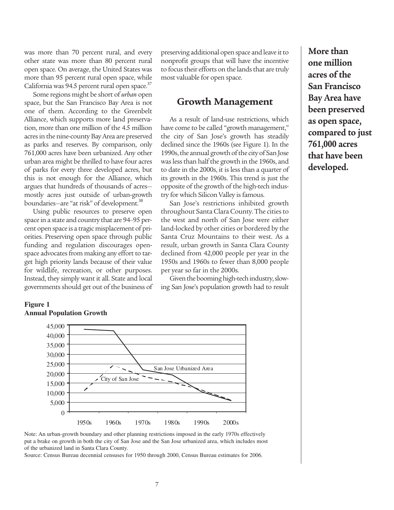was more than 70 percent rural, and every other state was more than 80 percent rural open space. On average, the United States was more than 95 percent rural open space, while California was 94.5 percent rural open space. $37$ 

Some regions might be short of *urban* open space, but the San Francisco Bay Area is not one of them. According to the Greenbelt Alliance, which supports more land preservation, more than one million of the 4.5 million acres in the nine-county Bay Area are preserved as parks and reserves. By comparison, only 761,000 acres have been urbanized. Any other urban area might be thrilled to have four acres of parks for every three developed acres, but this is not enough for the Alliance, which argues that hundreds of thousands of acres mostly acres just outside of urban-growth boundaries—are "at risk" of development.<sup>38</sup>

Using public resources to preserve open space in a state and country that are 94–95 percent open space is a tragic misplacement of priorities. Preserving open space through public funding and regulation discourages openspace advocates from making any effort to target high priority lands because of their value for wildlife, recreation, or other purposes. Instead, they simply want it all. State and local governments should get out of the business of

#### **Figure 1 Annual Population Growth**

 $\Omega$ 5,000 10,000 15,000 20,000 25,000 30,000 35,000 40,000 45,000 1950s 1960s 1970s 1980s 1990s 2000s City of San Jose San Jose Urbanized Area

Note: An urban-growth boundary and other planning restrictions imposed in the early 1970s effectively put a brake on growth in both the city of San Jose and the San Jose urbanized area, which includes most of the urbanized land in Santa Clara County.

Source: Census Bureau decennial censuses for 1950 through 2000, Census Bureau estimates for 2006*.*

preserving additional open space and leave it to nonprofit groups that will have the incentive to focus their efforts on the lands that are truly most valuable for open space.

#### **Growth Management**

As a result of land-use restrictions, which have come to be called "growth management," the city of San Jose's growth has steadily declined since the 1960s (see Figure 1). In the 1990s, the annual growth of the city of San Jose was less than half the growth in the 1960s, and to date in the 2000s, it is less than a quarter of its growth in the 1960s. This trend is just the opposite of the growth of the high-tech industry for which Silicon Valley is famous.

San Jose's restrictions inhibited growth throughout Santa Clara County. The cities to the west and north of San Jose were either land-locked by other cities or bordered by the Santa Cruz Mountains to their west. As a result, urban growth in Santa Clara County declined from 42,000 people per year in the 1950s and 1960s to fewer than 8,000 people per year so far in the 2000s.

Given the booming high-tech industry, slowing San Jose's population growth had to result

**More than one million acres of the San Francisco Bay Area have been preserved as open space, compared to just 761,000 acres that have been developed.**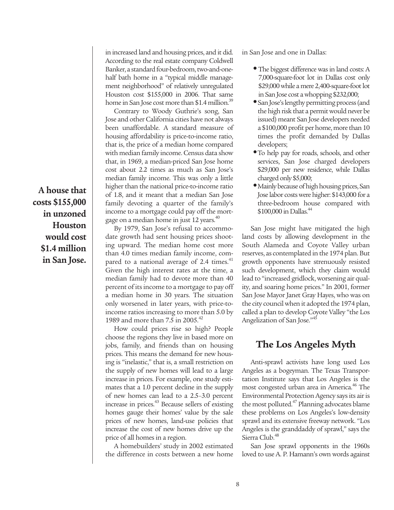**A house that costs \$155,000 in unzoned Houston would cost \$1.4 million in San Jose.** in increased land and housing prices, and it did. According to the real estate company Coldwell Banker, a standard four-bedroom, two-and-onehalf bath home in a "typical middle management neighborhood" of relatively unregulated Houston cost \$155,000 in 2006. That same home in San Jose cost more than \$1.4 million.<sup>39</sup>

Contrary to Woody Guthrie's song, San Jose and other California cities have not always been unaffordable. A standard measure of housing affordability is price-to-income ratio, that is, the price of a median home compared with median family income. Census data show that, in 1969, a median-priced San Jose home cost about 2.2 times as much as San Jose's median family income. This was only a little higher than the national price-to-income ratio of 1.8, and it meant that a median San Jose family devoting a quarter of the family's income to a mortgage could pay off the mortgage on a median home in just 12 years.<sup>40</sup>

By 1979, San Jose's refusal to accommodate growth had sent housing prices shooting upward. The median home cost more than 4.0 times median family income, compared to a national average of 2.4 times.<sup>41</sup> Given the high interest rates at the time, a median family had to devote more than 40 percent of its income to a mortgage to pay off a median home in 30 years. The situation only worsened in later years, with price-toincome ratios increasing to more than 5.0 by 1989 and more than 7.5 in 2005.<sup>42</sup>

How could prices rise so high? People choose the regions they live in based more on jobs, family, and friends than on housing prices. This means the demand for new housing is "inelastic," that is, a small restriction on the supply of new homes will lead to a large increase in prices. For example, one study estimates that a 1.0 percent decline in the supply of new homes can lead to a 2.5–3.0 percent increase in prices.<sup>43</sup> Because sellers of existing homes gauge their homes' value by the sale prices of new homes, land-use policies that increase the cost of new homes drive up the price of all homes in a region.

A homebuilders' study in 2002 estimated the difference in costs between a new home in San Jose and one in Dallas:

- The biggest difference was in land costs: A 7,000-square-foot lot in Dallas cost only \$29,000 while a mere 2,400-square-foot lot in San Jose cost a whopping \$232,000;
- **•** San Jose's lengthy permitting process (and the high risk that a permit would never be issued) meant San Jose developers needed a \$100,000 profit per home, more than 10 times the profit demanded by Dallas developers;
- **•**To help pay for roads, schools, and other services, San Jose charged developers \$29,000 per new residence, while Dallas charged only \$5,000;
- **•**Mainly because of high housing prices, San Jose labor costs were higher: \$143,000 for a three-bedroom house compared with \$100,000 in Dallas.<sup>44</sup>

San Jose might have mitigated the high land costs by allowing development in the South Alameda and Coyote Valley urban reserves, as contemplated in the 1974 plan. But growth opponents have strenuously resisted such development, which they claim would lead to "increased gridlock, worsening air quality, and soaring home prices." In 2001, former San Jose Mayor Janet Gray Hayes, who was on the city council when it adopted the 1974 plan, called a plan to develop Coyote Valley "the Los Angelization of San Jose."<sup>45</sup>

## **The Los Angeles Myth**

Anti-sprawl activists have long used Los Angeles as a bogeyman. The Texas Transportation Institute says that Los Angeles is the most congested urban area in America.<sup>46</sup> The Environmental Protection Agency says its air is the most polluted.<sup>47</sup> Planning advocates blame these problems on Los Angeles's low-density sprawl and its extensive freeway network. "Los Angeles is the granddaddy of sprawl," says the Sierra Club.<sup>48</sup>

San Jose sprawl opponents in the 1960s loved to use A. P. Hamann's own words against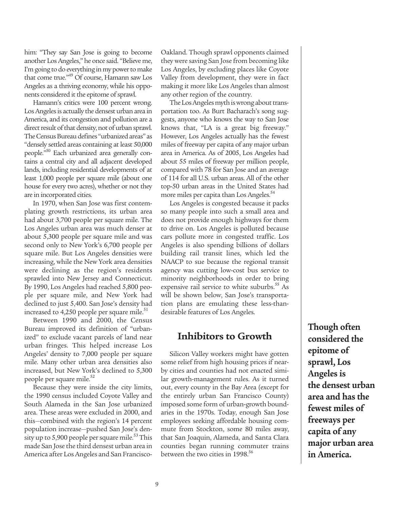him: "They say San Jose is going to become another Los Angeles," he once said. "Believe me, I'm going to do everything in my power to make that come true."<sup>49</sup> Of course, Hamann saw Los Angeles as a thriving economy, while his opponents considered it the epitome of sprawl.

Hamann's critics were 100 percent wrong. Los Angeles is actually the densest urban area in America, and its congestion and pollution are a direct result of that density, not of urban sprawl. The Census Bureau defines "urbanized areas" as "densely settled areas containing at least 50,000 people."<sup>50</sup> Each urbanized area generally contains a central city and all adjacent developed lands, including residential developments of at least 1,000 people per square mile (about one house for every two acres), whether or not they are in incorporated cities.

In 1970, when San Jose was first contemplating growth restrictions, its urban area had about 3,700 people per square mile. The Los Angeles urban area was much denser at about 5,300 people per square mile and was second only to New York's 6,700 people per square mile. But Los Angeles densities were increasing, while the New York area densities were declining as the region's residents sprawled into New Jersey and Connecticut. By 1990, Los Angeles had reached 5,800 people per square mile, and New York had declined to just 5,400. San Jose's density had increased to  $4,250$  people per square mile.<sup>51</sup>

Between 1990 and 2000, the Census Bureau improved its definition of "urbanized" to exclude vacant parcels of land near urban fringes. This helped increase Los Angeles' density to 7,000 people per square mile. Many other urban area densities also increased, but New York's declined to 5,300 people per square mile.<sup>52</sup>

Because they were inside the city limits, the 1990 census included Coyote Valley and South Alameda in the San Jose urbanized area. These areas were excluded in 2000, and this—combined with the region's 14 percent population increase—pushed San Jose's density up to 5,900 people per square mile.<sup>53</sup> This made San Jose the third densest urban area in America after Los Angeles and San Francisco-

Oakland. Though sprawl opponents claimed they were saving San Jose from becoming like Los Angeles, by excluding places like Coyote Valley from development, they were in fact making it more like Los Angeles than almost any other region of the country.

The Los Angeles myth is wrong about transportation too. As Burt Bacharach's song suggests, anyone who knows the way to San Jose knows that, "LA is a great big freeway." However, Los Angeles actually has the fewest miles of freeway per capita of any major urban area in America. As of 2005, Los Angeles had about 55 miles of freeway per million people, compared with 78 for San Jose and an average of 114 for all U.S. urban areas. All of the other top-50 urban areas in the United States had more miles per capita than Los Angeles.<sup>54</sup>

Los Angeles is congested because it packs so many people into such a small area and does not provide enough highways for them to drive on. Los Angeles is polluted because cars pollute more in congested traffic. Los Angeles is also spending billions of dollars building rail transit lines, which led the NAACP to sue because the regional transit agency was cutting low-cost bus service to minority neighborhoods in order to bring expensive rail service to white suburbs.<sup>55</sup> As will be shown below, San Jose's transportation plans are emulating these less-thandesirable features of Los Angeles.

#### **Inhibitors to Growth**

Silicon Valley workers might have gotten some relief from high housing prices if nearby cities and counties had not enacted similar growth-management rules. As it turned out, every county in the Bay Area (except for the entirely urban San Francisco County) imposed some form of urban-growth boundaries in the 1970s. Today, enough San Jose employees seeking affordable housing commute from Stockton, some 80 miles away, that San Joaquin, Alameda, and Santa Clara counties began running commuter trains between the two cities in 1998.<sup>56</sup>

**Though often considered the epitome of sprawl, Los Angeles is the densest urban area and has the fewest miles of freeways per capita of any major urban area in America.**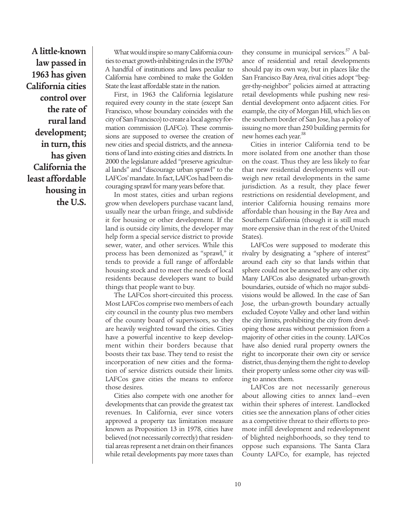**A little-known law passed in 1963 has given California cities control over the rate of rural land development; in turn, this has given California the least affordable housing in the U.S.**

What would inspire so many California counties to enact growth-inhibiting rules in the 1970s? A handful of institutions and laws peculiar to California have combined to make the Golden State the least affordable state in the nation.

First, in 1963 the California legislature required every county in the state (except San Francisco, whose boundary coincides with the city of San Francisco) to create a local agency formation commission (LAFCo). These commissions are supposed to oversee the creation of new cities and special districts, and the annexations of land into existing cities and districts. In 2000 the legislature added "preserve agricultural lands" and "discourage urban sprawl" to the LAFCos' mandate. In fact, LAFCos had been discouraging sprawl for many years before that.

In most states, cities and urban regions grow when developers purchase vacant land, usually near the urban fringe, and subdivide it for housing or other development. If the land is outside city limits, the developer may help form a special service district to provide sewer, water, and other services. While this process has been demonized as "sprawl," it tends to provide a full range of affordable housing stock and to meet the needs of local residents because developers want to build things that people want to buy.

The LAFCos short-circuited this process. Most LAFCos comprise two members of each city council in the county plus two members of the county board of supervisors, so they are heavily weighted toward the cities. Cities have a powerful incentive to keep development within their borders because that boosts their tax base. They tend to resist the incorporation of new cities and the formation of service districts outside their limits. LAFCos gave cities the means to enforce those desires.

Cities also compete with one another for developments that can provide the greatest tax revenues. In California, ever since voters approved a property tax limitation measure known as Proposition 13 in 1978, cities have believed (not necessarily correctly) that residential areas represent a net drain on their finances while retail developments pay more taxes than

they consume in municipal services. $57$  A balance of residential and retail developments should pay its own way, but in places like the San Francisco Bay Area, rival cities adopt "begger-thy-neighbor" policies aimed at attracting retail developments while pushing new residential development onto adjacent cities. For example, the city of Morgan Hill, which lies on the southern border of San Jose, has a policy of issuing no more than 250 building permits for new homes each year.<sup>58</sup>

Cities in interior California tend to be more isolated from one another than those on the coast. Thus they are less likely to fear that new residential developments will outweigh new retail developments in the same jurisdiction. As a result, they place fewer restrictions on residential development, and interior California housing remains more affordable than housing in the Bay Area and Southern California (though it is still much more expensive than in the rest of the United States).

LAFCos were supposed to moderate this rivalry by designating a "sphere of interest" around each city so that lands within that sphere could not be annexed by any other city. Many LAFCos also designated urban-growth boundaries, outside of which no major subdivisions would be allowed. In the case of San Jose, the urban-growth boundary actually excluded Coyote Valley and other land within the city limits, prohibiting the city from developing those areas without permission from a majority of other cities in the county. LAFCos have also denied rural property owners the right to incorporate their own city or service district, thus denying them the right to develop their property unless some other city was willing to annex them.

LAFCos are not necessarily generous about allowing cities to annex land—even within their spheres of interest. Landlocked cities see the annexation plans of other cities as a competitive threat to their efforts to promote infill development and redevelopment of blighted neighborhoods, so they tend to oppose such expansions. The Santa Clara County LAFCo, for example, has rejected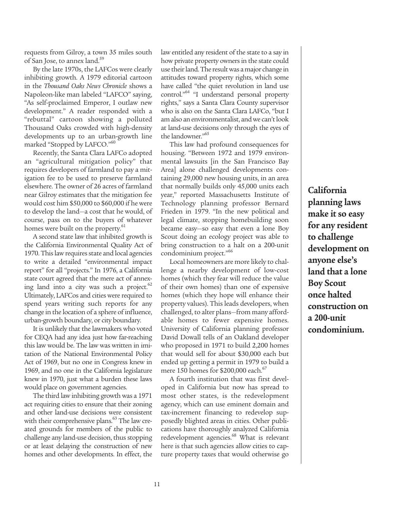requests from Gilroy, a town 35 miles south of San Jose, to annex land.<sup>59</sup>

By the late 1970s, the LAFCos were clearly inhibiting growth. A 1979 editorial cartoon in the *Thousand Oaks News Chronicle* shows a Napoleon-like man labeled "LAFCO" saying, "As self-proclaimed Emperor, I outlaw new development." A reader responded with a "rebuttal" cartoon showing a polluted Thousand Oaks crowded with high-density developments up to an urban-growth line marked "Stopped by LAFCO."<sup>60</sup>

Recently, the Santa Clara LAFCo adopted an "agricultural mitigation policy" that requires developers of farmland to pay a mitigation fee to be used to preserve farmland elsewhere. The owner of 26 acres of farmland near Gilroy estimates that the mitigation fee would cost him \$50,000 to \$60,000 if he were to develop the land—a cost that he would, of course, pass on to the buyers of whatever homes were built on the property.<sup>61</sup>

A second state law that inhibited growth is the California Environmental Quality Act of 1970. This law requires state and local agencies to write a detailed "environmental impact report" for all "projects." In 1976, a California state court agreed that the mere act of annexing land into a city was such a project. $62$ Ultimately, LAFCos and cities were required to spend years writing such reports for any change in the location of a sphere of influence, urban-growth boundary, or city boundary.

It is unlikely that the lawmakers who voted for CEQA had any idea just how far-reaching this law would be. The law was written in imitation of the National Environmental Policy Act of 1969, but no one in Congress knew in 1969, and no one in the California legislature knew in 1970, just what a burden these laws would place on government agencies.

The third law inhibiting growth was a 1971 act requiring cities to ensure that their zoning and other land-use decisions were consistent with their comprehensive plans. $63$  The law created grounds for members of the public to challenge any land-use decision, thus stopping or at least delaying the construction of new homes and other developments. In effect, the law entitled any resident of the state to a say in how private property owners in the state could use their land. The result was a major change in attitudes toward property rights, which some have called "the quiet revolution in land use control."64 "I understand personal property rights," says a Santa Clara County supervisor who is also on the Santa Clara LAFCo, "but I am also an environmentalist, and we can't look at land-use decisions only through the eyes of the landowner."<sup>65</sup>

This law had profound consequences for housing. "Between 1972 and 1979 environmental lawsuits [in the San Francisco Bay Area] alone challenged developments containing 29,000 new housing units, in an area that normally builds only 45,000 units each year," reported Massachusetts Institute of Technology planning professor Bernard Frieden in 1979. "In the new political and legal climate, stopping homebuilding soon became easy—so easy that even a lone Boy Scout doing an ecology project was able to bring construction to a halt on a 200-unit condominium project."<sup>66</sup>

Local homeowners are more likely to challenge a nearby development of low-cost homes (which they fear will reduce the value of their own homes) than one of expensive homes (which they hope will enhance their property values). This leads developers, when challenged, to alter plans—from many affordable homes to fewer expensive homes. University of California planning professor David Dowall tells of an Oakland developer who proposed in 1971 to build 2,200 homes that would sell for about \$30,000 each but ended up getting a permit in 1979 to build a mere 150 homes for \$200,000 each. $67$ 

A fourth institution that was first developed in California but now has spread to most other states, is the redevelopment agency, which can use eminent domain and tax-increment financing to redevelop supposedly blighted areas in cities. Other publications have thoroughly analyzed California redevelopment agencies.<sup>68</sup> What is relevant here is that such agencies allow cities to capture property taxes that would otherwise go

**California planning laws make it so easy for any resident to challenge development on anyone else's land that a lone Boy Scout once halted construction on a 200-unit condominium.**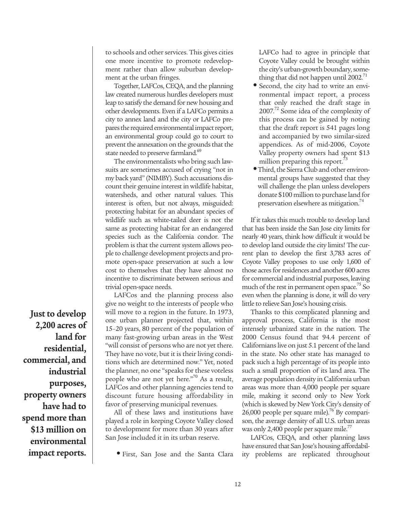to schools and other services. This gives cities one more incentive to promote redevelopment rather than allow suburban development at the urban fringes.

Together, LAFCos, CEQA, and the planning law created numerous hurdles developers must leap to satisfy the demand for new housing and other developments. Even if a LAFCo permits a city to annex land and the city or LAFCo prepares the required environmental impact report, an environmental group could go to court to prevent the annexation on the grounds that the state needed to preserve farmland.<sup>69</sup>

The environmentalists who bring such lawsuits are sometimes accused of crying "not in my back yard" (NIMBY). Such accusations discount their genuine interest in wildlife habitat, watersheds, and other natural values. This interest is often, but not always, misguided: protecting habitat for an abundant species of wildlife such as white-tailed deer is not the same as protecting habitat for an endangered species such as the California condor. The problem is that the current system allows people to challenge development projects and promote open-space preservation at such a low cost to themselves that they have almost no incentive to discriminate between serious and trivial open-space needs.

LAFCos and the planning process also give no weight to the interests of people who will move to a region in the future. In 1973, one urban planner projected that, within 15–20 years, 80 percent of the population of many fast-growing urban areas in the West "will consist of persons who are not yet there. They have no vote, but it is their living conditions which are determined now." Yet, noted the planner, no one "speaks for these voteless people who are not yet here."<sup>70</sup> As a result, LAFCos and other planning agencies tend to discount future housing affordability in favor of preserving municipal revenues.

All of these laws and institutions have played a role in keeping Coyote Valley closed to development for more than 30 years after San Jose included it in its urban reserve.

**•** First, San Jose and the Santa Clara

LAFCo had to agree in principle that Coyote Valley could be brought within the city's urban-growth boundary, something that did not happen until 2002. $^{71}$ 

- Second, the city had to write an environmental impact report, a process that only reached the draft stage in 2007.<sup>72</sup> Some idea of the complexity of this process can be gained by noting that the draft report is 541 pages long and accompanied by two similar-sized appendices. As of mid-2006, Coyote Valley property owners had spent \$13 million preparing this report.<sup>73</sup>
- **•** Third, the Sierra Club and other environmental groups have suggested that they will challenge the plan unless developers donate \$100 million to purchase land for preservation elsewhere as mitigation.<sup>74</sup>

If it takes this much trouble to develop land that has been inside the San Jose city limits for nearly 40 years, think how difficult it would be to develop land outside the city limits! The current plan to develop the first 3,783 acres of Coyote Valley proposes to use only 1,600 of those acres for residences and another 600 acres for commercial and industrial purposes, leaving much of the rest in permanent open space.<sup>75</sup> So even when the planning is done, it will do very little to relieve San Jose's housing crisis.

Thanks to this complicated planning and approval process, California is the most intensely urbanized state in the nation. The 2000 Census found that 94.4 percent of Californians live on just 5.1 percent of the land in the state. No other state has managed to pack such a high percentage of its people into such a small proportion of its land area. The average population density in California urban areas was more than 4,000 people per square mile, making it second only to New York (which is skewed by New York City's density of 26,000 people per square mile).<sup>76</sup> By comparison, the average density of all U.S. urban areas was only 2,400 people per square mile.<sup>77</sup>

LAFCos, CEQA, and other planning laws have ensured that San Jose's housing affordability problems are replicated throughout

**Just to develop 2,200 acres of land for residential, commercial, and industrial purposes, property owners have had to spend more than \$13 million on environmental impact reports.**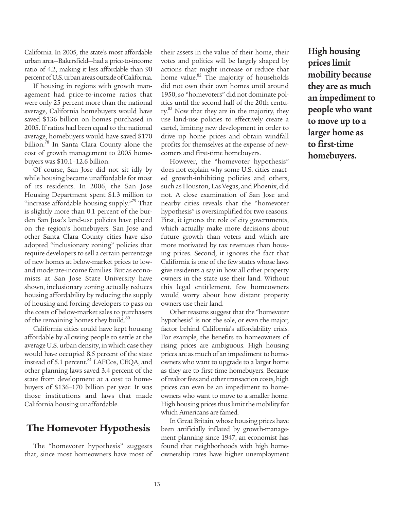California. In 2005, the state's most affordable urban area—Bakersfield—had a price-to-income ratio of 4.2, making it less affordable than 90 percent of U.S. urban areas outside of California.

If housing in regions with growth management had price-to-income ratios that were only 25 percent more than the national average, California homebuyers would have saved \$136 billion on homes purchased in 2005. If ratios had been equal to the national average, homebuyers would have saved \$170 billion.<sup>78</sup> In Santa Clara County alone the cost of growth management to 2005 homebuyers was \$10.1–12.6 billion.

Of course, San Jose did not sit idly by while housing became unaffordable for most of its residents. In 2006, the San Jose Housing Department spent \$1.3 million to "increase affordable housing supply."<sup>79</sup> That is slightly more than 0.1 percent of the burden San Jose's land-use policies have placed on the region's homebuyers. San Jose and other Santa Clara County cities have also adopted "inclusionary zoning" policies that require developers to sell a certain percentage of new homes at below-market prices to lowand moderate-income families. But as economists at San Jose State University have shown, inclusionary zoning actually reduces housing affordability by reducing the supply of housing and forcing developers to pass on the costs of below-market sales to purchasers of the remaining homes they build.<sup>80</sup>

California cities could have kept housing affordable by allowing people to settle at the average U.S. urban density, in which case they would have occupied 8.5 percent of the state instead of 5.1 percent.<sup>81</sup> LAFCos, CEQA, and other planning laws saved 3.4 percent of the state from development at a cost to homebuyers of \$136–170 billion per year. It was those institutions and laws that made California housing unaffordable.

## **The Homevoter Hypothesis**

The "homevoter hypothesis" suggests that, since most homeowners have most of

their assets in the value of their home, their votes and politics will be largely shaped by actions that might increase or reduce that home value.<sup>82</sup> The majority of households did not own their own homes until around 1950, so "homevoters" did not dominate politics until the second half of the 20th century.<sup>83</sup> Now that they are in the majority, they use land-use policies to effectively create a cartel, limiting new development in order to drive up home prices and obtain windfall profits for themselves at the expense of newcomers and first-time homebuyers.

However, the "homevoter hypothesis" does not explain why some U.S. cities enacted growth-inhibiting policies and others, such as Houston, Las Vegas, and Phoenix, did not. A close examination of San Jose and nearby cities reveals that the "homevoter hypothesis" is oversimplified for two reasons. First, it ignores the role of city governments, which actually make more decisions about future growth than voters and which are more motivated by tax revenues than housing prices. Second, it ignores the fact that California is one of the few states whose laws give residents a say in how all other property owners in the state use their land. Without this legal entitlement, few homeowners would worry about how distant property owners use their land.

Other reasons suggest that the "homevoter hypothesis" is not the sole, or even the major, factor behind California's affordability crisis. For example, the benefits to homeowners of rising prices are ambiguous. High housing prices are as much of an impediment to homeowners who want to upgrade to a larger home as they are to first-time homebuyers. Because of realtor fees and other transaction costs, high prices can even be an impediment to homeowners who want to move to a smaller home. High housing prices thus limit the mobility for which Americans are famed.

In Great Britain, whose housing prices have been artificially inflated by growth-management planning since 1947, an economist has found that neighborhoods with high homeownership rates have higher unemployment

**High housing prices limit mobility because they are as much an impediment to people who want to move up to a larger home as to first-time homebuyers.**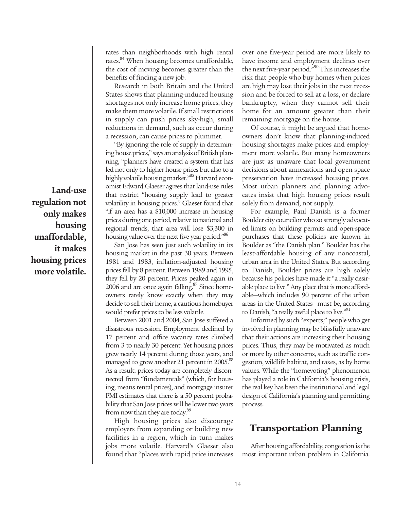**Land-use regulation not only makes housing unaffordable, it makes housing prices more volatile.**

rates than neighborhoods with high rental rates.<sup>84</sup> When housing becomes unaffordable, the cost of moving becomes greater than the benefits of finding a new job.

Research in both Britain and the United States shows that planning-induced housing shortages not only increase home prices, they make them more volatile. If small restrictions in supply can push prices sky-high, small reductions in demand, such as occur during a recession, can cause prices to plummet.

"By ignoring the role of supply in determining house prices," says an analysis of British planning, "planners have created a system that has led not only to higher house prices but also to a highly volatile housing market."<sup>85</sup> Harvard economist Edward Glaeser agrees that land-use rules that restrict "housing supply lead to greater volatility in housing prices." Glaeser found that "if an area has a \$10,000 increase in housing prices during one period, relative to national and regional trends, that area will lose \$3,300 in housing value over the next five-year period."<sup>86</sup>

San Jose has seen just such volatility in its housing market in the past 30 years. Between 1981 and 1983, inflation-adjusted housing prices fell by 8 percent. Between 1989 and 1995, they fell by 20 percent. Prices peaked again in 2006 and are once again falling. $87$  Since homeowners rarely know exactly when they may decide to sell their home, a cautious homebuyer would prefer prices to be less volatile.

Between 2001 and 2004, San Jose suffered a disastrous recession. Employment declined by 17 percent and office vacancy rates climbed from 3 to nearly 30 percent. Yet housing prices grew nearly 14 percent during those years, and managed to grow another 21 percent in 2005.<sup>88</sup> As a result, prices today are completely disconnected from "fundamentals" (which, for housing, means rental prices), and mortgage insurer PMI estimates that there is a 50 percent probability that San Jose prices will be lower two years from now than they are today.<sup>89</sup>

High housing prices also discourage employers from expanding or building new facilities in a region, which in turn makes jobs more volatile. Harvard's Glaeser also found that "places with rapid price increases over one five-year period are more likely to have income and employment declines over the next five-year period."90 This increases the risk that people who buy homes when prices are high may lose their jobs in the next recession and be forced to sell at a loss, or declare bankruptcy, when they cannot sell their home for an amount greater than their remaining mortgage on the house.

Of course, it might be argued that homeowners don't know that planning-induced housing shortages make prices and employment more volatile. But many homeowners are just as unaware that local government decisions about annexations and open-space preservation have increased housing prices. Most urban planners and planning advocates insist that high housing prices result solely from demand, not supply.

For example, Paul Danish is a former Boulder city councilor who so strongly advocated limits on building permits and open-space purchases that these policies are known in Boulder as "the Danish plan." Boulder has the least-affordable housing of any noncoastal, urban area in the United States. But according to Danish, Boulder prices are high solely because his policies have made it "a really desirable place to live." Any place that is more affordable—which includes 90 percent of the urban areas in the United States—must be, according to Danish, "a really awful place to live."<sup>91</sup>

Informed by such "experts," people who get involved in planning may be blissfully unaware that their actions are increasing their housing prices. Thus, they may be motivated as much or more by other concerns, such as traffic congestion, wildlife habitat, and taxes, as by home values. While the "homevoting" phenomenon has played a role in California's housing crisis, the real key has been the institutional and legal design of California's planning and permitting process.

#### **Transportation Planning**

After housing affordability, congestion is the most important urban problem in California.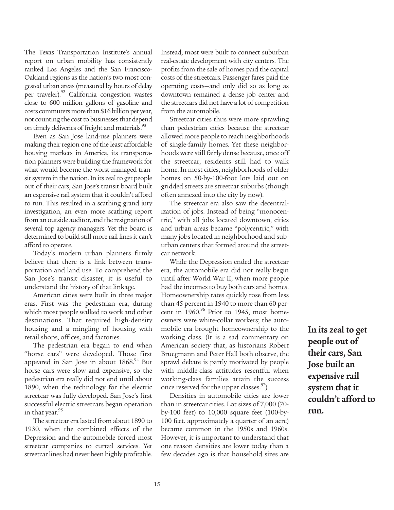The Texas Transportation Institute's annual report on urban mobility has consistently ranked Los Angeles and the San Francisco-Oakland regions as the nation's two most congested urban areas (measured by hours of delay per traveler).<sup>92</sup> California congestion wastes close to 600 million gallons of gasoline and costs commuters more than \$16 billion per year, not counting the cost to businesses that depend on timely deliveries of freight and materials.<sup>93</sup>

Even as San Jose land-use planners were making their region one of the least affordable housing markets in America, its transportation planners were building the framework for what would become the worst-managed transit system in the nation. In its zeal to get people out of their cars, San Jose's transit board built an expensive rail system that it couldn't afford to run. This resulted in a scathing grand jury investigation, an even more scathing report from an outside auditor, and the resignation of several top agency managers. Yet the board is determined to build still more rail lines it can't afford to operate.

Today's modern urban planners firmly believe that there is a link between transportation and land use. To comprehend the San Jose's transit disaster, it is useful to understand the history of that linkage.

American cities were built in three major eras. First was the pedestrian era, during which most people walked to work and other destinations. That required high-density housing and a mingling of housing with retail shops, offices, and factories.

The pedestrian era began to end when "horse cars" were developed. Those first appeared in San Jose in about  $1868$ .<sup>94</sup> But horse cars were slow and expensive, so the pedestrian era really did not end until about 1890, when the technology for the electric streetcar was fully developed. San Jose's first successful electric streetcars began operation in that year.<sup>95</sup>

The streetcar era lasted from about 1890 to 1930, when the combined effects of the Depression and the automobile forced most streetcar companies to curtail services. Yet streetcar lines had never been highly profitable. Instead, most were built to connect suburban real-estate development with city centers. The profits from the sale of homes paid the capital costs of the streetcars. Passenger fares paid the operating costs—and only did so as long as downtown remained a dense job center and the streetcars did not have a lot of competition from the automobile.

Streetcar cities thus were more sprawling than pedestrian cities because the streetcar allowed more people to reach neighborhoods of single-family homes. Yet these neighborhoods were still fairly dense because, once off the streetcar, residents still had to walk home. In most cities, neighborhoods of older homes on 50-by-100-foot lots laid out on gridded streets are streetcar suburbs (though often annexed into the city by now).

The streetcar era also saw the decentralization of jobs. Instead of being "monocentric," with all jobs located downtown, cities and urban areas became "polycentric," with many jobs located in neighborhood and suburban centers that formed around the streetcar network.

While the Depression ended the streetcar era, the automobile era did not really begin until after World War II, when more people had the incomes to buy both cars and homes. Homeownership rates quickly rose from less than 45 percent in 1940 to more than 60 percent in 1960. $96$  Prior to 1945, most homeowners were white-collar workers; the automobile era brought homeownership to the working class. (It is a sad commentary on American society that, as historians Robert Bruegmann and Peter Hall both observe, the sprawl debate is partly motivated by people with middle-class attitudes resentful when working-class families attain the success once reserved for the upper classes. $\mathcal{S}'$ 

Densities in automobile cities are lower than in streetcar cities. Lot sizes of 7,000 (70 by-100 feet) to 10,000 square feet (100-by-100 feet, approximately a quarter of an acre) became common in the 1950s and 1960s. However, it is important to understand that one reason densities are lower today than a few decades ago is that household sizes are

**In its zeal to get people out of their cars, San Jose built an expensive rail system that it couldn't afford to run.**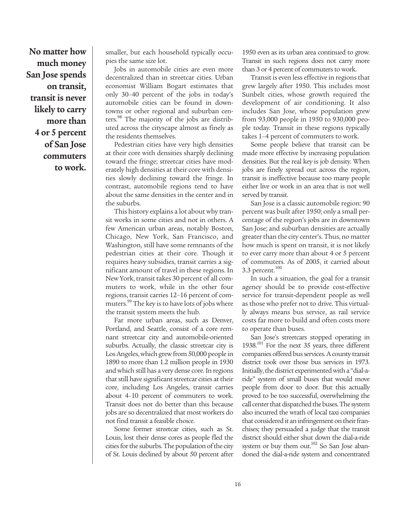**No matter how much money San Jose spends on transit, transit is never likely to carry more than 4 or 5 percent of San Jose commuters to work.**

smaller, but each household typically occupies the same size lot.

Jobs in automobile cities are even more decentralized than in streetcar cities. Urban economist William Bogart estimates that only 30–40 percent of the jobs in today's automobile cities can be found in downtowns or other regional and suburban centers.<sup>98</sup> The majority of the jobs are distributed across the cityscape almost as finely as the residents themselves.

Pedestrian cities have very high densities at their core with densities sharply declining toward the fringe; streetcar cities have moderately high densities at their core with densities slowly declining toward the fringe. In contrast, automobile regions tend to have about the same densities in the center and in the suburbs.

This history explains a lot about why transit works in some cities and not in others. A few American urban areas, notably Boston, Chicago, New York, San Francisco, and Washington, still have some remnants of the pedestrian cities at their core. Though it requires heavy subsidies, transit carries a significant amount of travel in these regions. In New York, transit takes 30 percent of all commuters to work, while in the other four regions, transit carries 12–16 percent of commuters.<sup>99</sup> The key is to have lots of jobs where the transit system meets the hub.

Far more urban areas, such as Denver, Portland, and Seattle, consist of a core remnant streetcar city and automobile-oriented suburbs. Actually, the classic streetcar city is Los Angeles, which grew from 50,000 people in 1890 to more than 1.2 million people in 1930 and which still has a very dense core. In regions that still have significant streetcar cities at their core, including Los Angeles, transit carries about 4–10 percent of commuters to work. Transit does not do better than this because jobs are so decentralized that most workers do not find transit a feasible choice.

Some former streetcar cities, such as St. Louis, lost their dense cores as people fled the cities for the suburbs. The population of the city of St. Louis declined by about 50 percent after

1950 even as its urban area continued to grow. Transit in such regions does not carry more than 3 or 4 percent of commuters to work.

Transit is even less effective in regions that grew largely after 1950. This includes most Sunbelt cities, whose growth required the development of air conditioning. It also includes San Jose, whose population grew from 93,000 people in 1950 to 930,000 people today. Transit in these regions typically takes 1–4 percent of commuters to work.

Some people believe that transit can be made more effective by increasing population densities. But the real key is job density. When jobs are finely spread out across the region, transit is ineffective because too many people either live or work in an area that is not well served by transit.

San Jose is a classic automobile region: 90 percent was built after 1950; only a small percentage of the region's jobs are in downtown San Jose; and suburban densities are actually greater than the city center's. Thus, no matter how much is spent on transit, it is not likely to ever carry more than about 4 or 5 percent of commuters. As of 2005, it carried about 3.3 percent. $100$ 

In such a situation, the goal for a transit agency should be to provide cost-effective service for transit-dependent people as well as those who prefer not to drive. This virtually always means bus service, as rail service costs far more to build and often costs more to operate than buses.

San Jose's streetcars stopped operating in 1938.<sup>101</sup> For the next 35 years, three different companies offered bus services. A county transit district took over those bus services in 1973. Initially, the district experimented with a "dial-aride" system of small buses that would move people from door to door. But this actually proved to be too successful, overwhelming the call center that dispatched the buses. The system also incurred the wrath of local taxi companies that considered it an infringement on their franchises; they persuaded a judge that the transit district should either shut down the dial-a-ride system or buy them out.<sup>102</sup> So San Jose abandoned the dial-a-ride system and concentrated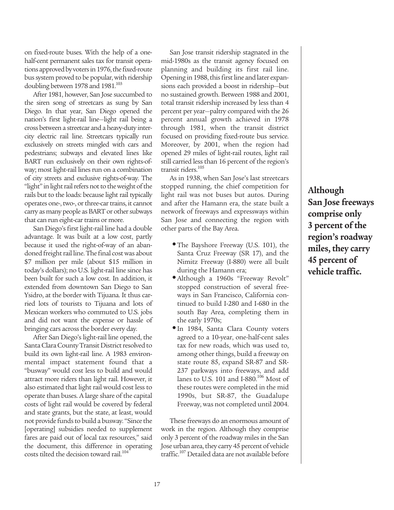on fixed-route buses. With the help of a onehalf-cent permanent sales tax for transit operations approved by voters in 1976, the fixed-route bus system proved to be popular, with ridership doubling between 1978 and 1981.<sup>103</sup>

After 1981, however, San Jose succumbed to the siren song of streetcars as sung by San Diego. In that year, San Diego opened the nation's first light-rail line—light rail being a cross between a streetcar and a heavy-duty intercity electric rail line. Streetcars typically run exclusively on streets mingled with cars and pedestrians; subways and elevated lines like BART run exclusively on their own rights-ofway; most light-rail lines run on a combination of city streets and exclusive rights-of-way. The "light" in light rail refers not to the weight of the rails but to the loads: because light rail typically operates one-, two-, or three-car trains, it cannot carry as many people as BART or other subways that can run eight-car trains or more.

San Diego's first light-rail line had a double advantage. It was built at a low cost, partly because it used the right-of-way of an abandoned freight rail line. The final cost was about \$7 million per mile (about \$15 million in today's dollars); no U.S. light-rail line since has been built for such a low cost. In addition, it extended from downtown San Diego to San Ysidro, at the border with Tijuana. It thus carried lots of tourists to Tijuana and lots of Mexican workers who commuted to U.S. jobs and did not want the expense or hassle of bringing cars across the border every day.

After San Diego's light-rail line opened, the Santa Clara County Transit District resolved to build its own light-rail line. A 1983 environmental impact statement found that a "busway" would cost less to build and would attract more riders than light rail. However, it also estimated that light rail would cost less to operate than buses. A large share of the capital costs of light rail would be covered by federal and state grants, but the state, at least, would not provide funds to build a busway. "Since the [operating] subsidies needed to supplement fares are paid out of local tax resources," said the document, this difference in operating costs tilted the decision toward rail.<sup>104</sup>

San Jose transit ridership stagnated in the mid-1980s as the transit agency focused on planning and building its first rail line. Opening in 1988, this first line and later expansions each provided a boost in ridership—but no sustained growth. Between 1988 and 2001, total transit ridership increased by less than 4 percent per year—paltry compared with the 26 percent annual growth achieved in 1978 through 1981, when the transit district focused on providing fixed-route bus service. Moreover, by 2001, when the region had opened 29 miles of light-rail routes, light rail still carried less than 16 percent of the region's transit riders.<sup>105</sup>

As in 1938, when San Jose's last streetcars stopped running, the chief competition for light rail was not buses but autos. During and after the Hamann era, the state built a network of freeways and expressways within San Jose and connecting the region with other parts of the Bay Area.

- **•** The Bayshore Freeway (U.S. 101), the Santa Cruz Freeway (SR 17), and the Nimitz Freeway (I-880) were all built during the Hamann era;
- **•** Although a 1960s "Freeway Revolt" stopped construction of several freeways in San Francisco, California continued to build I-280 and I-680 in the south Bay Area, completing them in the early 1970s;
- **•**In 1984, Santa Clara County voters agreed to a 10-year, one-half-cent sales tax for new roads, which was used to, among other things, build a freeway on state route 85, expand SR-87 and SR-237 parkways into freeways, and add lanes to U.S. 101 and I-880.<sup>106</sup> Most of these routes were completed in the mid 1990s, but SR-87, the Guadalupe Freeway, was not completed until 2004.

These freeways do an enormous amount of work in the region. Although they comprise only 3 percent of the roadway miles in the San Jose urban area, they carry 45 percent of vehicle traffic.<sup>107</sup> Detailed data are not available before **Although San Jose freeways comprise only 3 percent of the region's roadway miles, they carry 45 percent of vehicle traffic.**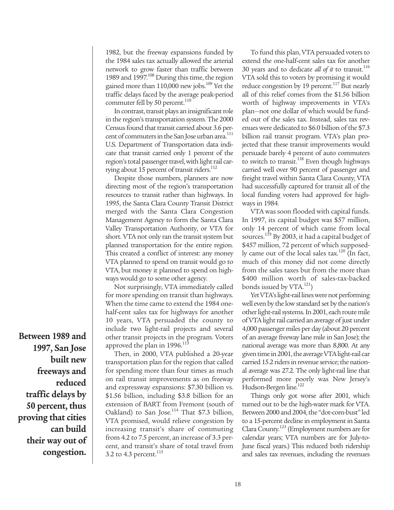1982, but the freeway expansions funded by the 1984 sales tax actually allowed the arterial network to grow faster than traffic between 1989 and 1997.<sup>108</sup> During this time, the region gained more than 110,000 new jobs.<sup>109</sup> Yet the traffic delays faced by the average peak-period commuter fell by 50 percent.<sup>110</sup>

In contrast, transit plays an insignificant role in the region's transportation system. The 2000 Census found that transit carried about 3.6 percent of commuters in the San Jose urban area.<sup>111</sup> U.S. Department of Transportation data indicate that transit carried only 1 percent of the region's total passenger travel, with light rail carrying about 15 percent of transit riders.<sup>112</sup>

Despite those numbers, planners are now directing most of the region's transportation resources to transit rather than highways. In 1995, the Santa Clara County Transit District merged with the Santa Clara Congestion Management Agency to form the Santa Clara Valley Transportation Authority, or VTA for short. VTA not only ran the transit system but planned transportation for the entire region. This created a conflict of interest: any money VTA planned to spend on transit would go to VTA, but money it planned to spend on highways would go to some other agency.

Not surprisingly, VTA immediately called for more spending on transit than highways. When the time came to extend the 1984 onehalf-cent sales tax for highways for another 10 years, VTA persuaded the county to include two light-rail projects and several other transit projects in the program. Voters approved the plan in  $1996$ .<sup>113</sup>

Then, in 2000, VTA published a 20-year transportation plan for the region that called for spending more than four times as much on rail transit improvements as on freeway and expressway expansions: \$7.30 billion vs. \$1.56 billion, including \$3.8 billion for an extension of BART from Fremont (south of Oakland) to San Jose. $114$  That \$7.3 billion, VTA promised, would relieve congestion by increasing transit's share of commuting from 4.2 to 7.5 percent, an increase of 3.3 percent, and transit's share of total travel from 3.2 to 4.3 percent.<sup>115</sup>

To fund this plan, VTA persuaded voters to extend the one-half-cent sales tax for another 30 years and to dedicate *all of it* to transit.<sup>116</sup> VTA sold this to voters by promising it would reduce congestion by 19 percent.<sup>117</sup> But nearly all of this relief comes from the \$1.56 billion worth of highway improvements in VTA's plan—not one dollar of which would be funded out of the sales tax. Instead, sales tax revenues were dedicated to \$6.0 billion of the \$7.3 billion rail transit program. VTA's plan projected that these transit improvements would persuade barely 4 percent of auto commuters to switch to transit.<sup>118</sup> Even though highways carried well over 90 percent of passenger and freight travel within Santa Clara County, VTA had successfully captured for transit all of the local funding voters had approved for highways in 1984.

VTA was soon flooded with capital funds. In 1997, its capital budget was \$57 million, only 14 percent of which came from local sources.<sup>119</sup> By 2003, it had a capital budget of \$457 million, 72 percent of which supposedly came out of the local sales tax.<sup>120</sup> (In fact, much of this money did not come directly from the sales taxes but from the more than \$400 million worth of sales-tax-backed bonds issued by VTA.<sup>121</sup>)

Yet VTA's light-rail lines were not performing well even by the low standard set by the nation's other light-rail systems. In 2001, each route mile of VTA light rail carried an average of just under 4,000 passenger miles per day (about 20 percent of an average freeway lane mile in San Jose); the national average was more than 8,800. At any given time in 2001, the average VTA light-rail car carried 15.2 riders in revenue service; the national average was 27.2. The only light-rail line that performed more poorly was New Jersey's Hudson-Bergen line.<sup>122</sup>

Things only got worse after 2001, which turned out to be the high-water mark for VTA. Between 2000 and 2004, the "dot-com-bust" led to a 15-percent decline in employment in Santa Clara County.<sup>123</sup> (Employment numbers are for calendar years; VTA numbers are for July-to-June fiscal years.) This reduced both ridership and sales tax revenues, including the revenues

**Between 1989 and 1997, San Jose built new freeways and reduced traffic delays by 50 percent, thus proving that cities can build their way out of congestion.**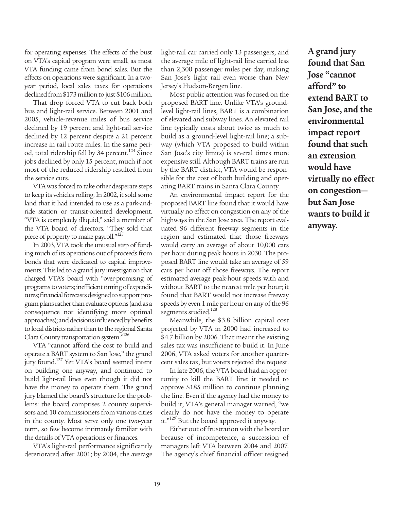for operating expenses. The effects of the bust on VTA's capital program were small, as most VTA funding came from bond sales. But the effects on operations were significant. In a twoyear period, local sales taxes for operations declined from \$173 million to just \$106 million.

That drop forced VTA to cut back both bus and light-rail service. Between 2001 and 2005, vehicle-revenue miles of bus service declined by 19 percent and light-rail service declined by 12 percent despite a 21 percent increase in rail route miles. In the same period, total ridership fell by 34 percent.<sup>124</sup> Since jobs declined by only 15 percent, much if not most of the reduced ridership resulted from the service cuts.

VTA was forced to take other desperate steps to keep its vehicles rolling. In 2002, it sold some land that it had intended to use as a park-andride station or transit-oriented development. "VTA is completely illiquid," said a member of the VTA board of directors. "They sold that piece of property to make payroll."<sup>125</sup>

In 2003, VTA took the unusual step of funding much of its operations out of proceeds from bonds that were dedicated to capital improvements. This led to a grand jury investigation that charged VTA's board with "over-promising of programs to voters; inefficient timing of expenditures; financial forecasts designed to support program plans rather than evaluate options (and as a consequence not identifying more optimal approaches); and decisions influenced by benefits to local districts rather than to the regional Santa Clara County transportation system."126

VTA "cannot afford the cost to build and operate a BART system to San Jose," the grand jury found.<sup>127</sup> Yet VTA's board seemed intent on building one anyway, and continued to build light-rail lines even though it did not have the money to operate them. The grand jury blamed the board's structure for the problems: the board comprises 2 county supervisors and 10 commissioners from various cities in the county. Most serve only one two-year term, so few become intimately familiar with the details of VTA operations or finances.

VTA's light-rail performance significantly deteriorated after 2001; by 2004, the average

light-rail car carried only 13 passengers, and the average mile of light-rail line carried less than 2,300 passenger miles per day, making San Jose's light rail even worse than New Jersey's Hudson-Bergen line.

Most public attention was focused on the proposed BART line. Unlike VTA's groundlevel light-rail lines, BART is a combination of elevated and subway lines. An elevated rail line typically costs about twice as much to build as a ground-level light-rail line; a subway (which VTA proposed to build within San Jose's city limits) is several times more expensive still. Although BART trains are run by the BART district, VTA would be responsible for the cost of both building and operating BART trains in Santa Clara County.

An environmental impact report for the proposed BART line found that it would have virtually no effect on congestion on any of the highways in the San Jose area. The report evaluated 96 different freeway segments in the region and estimated that those freeways would carry an average of about 10,000 cars per hour during peak hours in 2030. The proposed BART line would take an average of 59 cars per hour off those freeways. The report estimated average peak-hour speeds with and without BART to the nearest mile per hour; it found that BART would not increase freeway speeds by even 1 mile per hour on any of the 96 segments studied.<sup>128</sup>

Meanwhile, the \$3.8 billion capital cost projected by VTA in 2000 had increased to \$4.7 billion by 2006. That meant the existing sales tax was insufficient to build it. In June 2006, VTA asked voters for another quartercent sales tax, but voters rejected the request.

In late 2006, the VTA board had an opportunity to kill the BART line: it needed to approve \$185 million to continue planning the line. Even if the agency had the money to build it, VTA's general manager warned, "we clearly do not have the money to operate it."<sup>129</sup> But the board approved it anyway.

Either out of frustration with the board or because of incompetence, a succession of managers left VTA between 2004 and 2007. The agency's chief financial officer resigned

**A grand jury found that San Jose "cannot afford" to extend BART to San Jose, and the environmental impact report found that such an extension would have virtually no effect on congestion but San Jose wants to build it anyway.**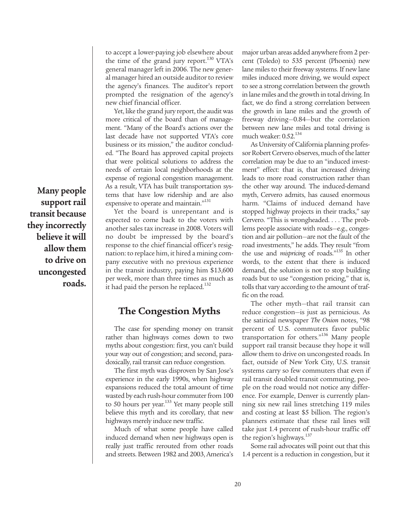to accept a lower-paying job elsewhere about the time of the grand jury report.<sup>130</sup> VTA's general manager left in 2006. The new general manager hired an outside auditor to review the agency's finances. The auditor's report prompted the resignation of the agency's new chief financial officer.

Yet, like the grand jury report, the audit was more critical of the board than of management. "Many of the Board's actions over the last decade have not supported VTA's core business or its mission," the auditor concluded. "The Board has approved capital projects that were political solutions to address the needs of certain local neighborhoods at the expense of regional congestion management. As a result, VTA has built transportation systems that have low ridership and are also expensive to operate and maintain."<sup>131</sup>

Yet the board is unrepentant and is expected to come back to the voters with another sales tax increase in 2008. Voters will no doubt be impressed by the board's response to the chief financial officer's resignation: to replace him, it hired a mining company executive with no previous experience in the transit industry, paying him \$13,600 per week, more than three times as much as it had paid the person he replaced.<sup>132</sup>

## **The Congestion Myths**

The case for spending money on transit rather than highways comes down to two myths about congestion: first, you can't build your way out of congestion; and second, paradoxically, rail transit can reduce congestion.

The first myth was disproven by San Jose's experience in the early 1990s, when highway expansions reduced the total amount of time wasted by each rush-hour commuter from 100 to 50 hours per year.<sup>133</sup> Yet many people still believe this myth and its corollary, that new highways merely induce new traffic.

Much of what some people have called induced demand when new highways open is really just traffic rerouted from other roads and streets. Between 1982 and 2003, America's major urban areas added anywhere from 2 percent (Toledo) to 535 percent (Phoenix) new lane miles to their freeway systems. If new lane miles induced more driving, we would expect to see a strong correlation between the growth in lane miles and the growth in total driving. In fact, we do find a strong correlation between the growth in lane miles and the growth of freeway driving—0.84—but the correlation between new lane miles and total driving is much weaker: 0.52.<sup>134</sup>

As University of California planning professor Robert Cervero observes, much of the latter correlation may be due to an "induced investment" effect: that is, that increased driving leads to more road construction rather than the other way around. The induced-demand myth, Cervero admits, has caused enormous harm. "Claims of induced demand have stopped highway projects in their tracks," say Cervero. "This is wrongheaded. . . . The problems people associate with roads—e.g., congestion and air pollution—are not the fault of the road investments," he adds. They result "from the use and *mispricing* of roads."<sup>135</sup> In other words, to the extent that there is induced demand, the solution is not to stop building roads but to use "congestion pricing," that is, tolls that vary according to the amount of traffic on the road.

The other myth—that rail transit can reduce congestion—is just as pernicious. As the satirical newspaper *The Onion* notes, "98 percent of U.S. commuters favor public transportation for others."136 Many people support rail transit because they hope it will allow them to drive on uncongested roads. In fact, outside of New York City, U.S. transit systems carry so few commuters that even if rail transit doubled transit commuting, people on the road would not notice any difference. For example, Denver is currently planning six new rail lines stretching 119 miles and costing at least \$5 billion. The region's planners estimate that these rail lines will take just 1.4 percent of rush-hour traffic off the region's highways.<sup>137</sup>

Some rail advocates will point out that this 1.4 percent is a reduction in congestion, but it

**Many people support rail transit because they incorrectly believe it will allow them to drive on uncongested roads.**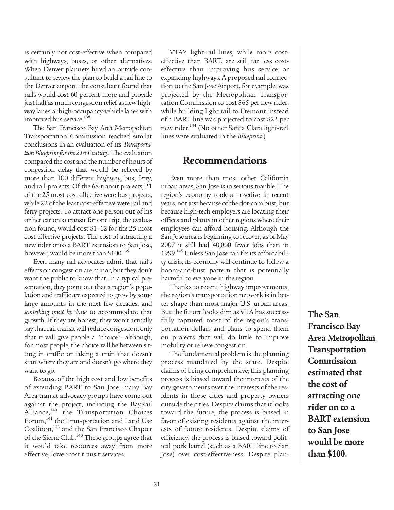is certainly not cost-effective when compared with highways, buses, or other alternatives. When Denver planners hired an outside consultant to review the plan to build a rail line to the Denver airport, the consultant found that rails would cost 60 percent more and provide just half as much congestion relief as new highway lanes or high-occupancy-vehicle lanes with improved bus service.<sup>138</sup>

The San Francisco Bay Area Metropolitan Transportation Commission reached similar conclusions in an evaluation of its *Transportation Blueprint for the 21st Century*. The evaluation compared the cost and the number of hours of congestion delay that would be relieved by more than 100 different highway, bus, ferry, and rail projects. Of the 68 transit projects, 21 of the 25 most cost-effective were bus projects, while 22 of the least cost-effective were rail and ferry projects. To attract one person out of his or her car onto transit for one trip, the evaluation found, would cost \$1–12 for the 25 most cost-effective projects. The cost of attracting a new rider onto a BART extension to San Jose, however, would be more than \$100.<sup>139</sup>

Even many rail advocates admit that rail's effects on congestion are minor, but they don't want the public to know that. In a typical presentation, they point out that a region's population and traffic are expected to grow by some large amounts in the next few decades, and *something must be done* to accommodate that growth. If they are honest, they won't actually say that rail transit will reduce congestion, only that it will give people a "choice"—although, for most people, the choice will be between sitting in traffic or taking a train that doesn't start where they are and doesn't go where they want to go.

Because of the high cost and low benefits of extending BART to San Jose, many Bay Area transit advocacy groups have come out against the project, including the BayRail Alliance,<sup>140</sup> the Transportation Choices Forum,<sup>141</sup> the Transportation and Land Use Coalition,<sup>142</sup> and the San Francisco Chapter of the Sierra Club.<sup>143</sup> These groups agree that it would take resources away from more effective, lower-cost transit services.

VTA's light-rail lines, while more costeffective than BART, are still far less costeffective than improving bus service or expanding highways. A proposed rail connection to the San Jose Airport, for example, was projected by the Metropolitan Transportation Commission to cost \$65 per new rider, while building light rail to Fremont instead of a BART line was projected to cost \$22 per new rider.<sup>144</sup> (No other Santa Clara light-rail lines were evaluated in the *Blueprint*.)

#### **Recommendations**

Even more than most other California urban areas, San Jose is in serious trouble. The region's economy took a nosedive in recent years, not just because of the dot-com bust, but because high-tech employers are locating their offices and plants in other regions where their employees can afford housing. Although the San Jose area is beginning to recover, as of May 2007 it still had 40,000 fewer jobs than in 1999.<sup>145</sup> Unless San Jose can fix its affordability crisis, its economy will continue to follow a boom-and-bust pattern that is potentially harmful to everyone in the region.

Thanks to recent highway improvements, the region's transportation network is in better shape than most major U.S. urban areas. But the future looks dim as VTA has successfully captured most of the region's transportation dollars and plans to spend them on projects that will do little to improve mobility or relieve congestion.

The fundamental problem is the planning process mandated by the state. Despite claims of being comprehensive, this planning process is biased toward the interests of the city governments over the interests of the residents in those cities and property owners outside the cities. Despite claims that it looks toward the future, the process is biased in favor of existing residents against the interests of future residents. Despite claims of efficiency, the process is biased toward political pork barrel (such as a BART line to San Jose) over cost-effectiveness. Despite plan**The San Francisco Bay Area Metropolitan Transportation Commission estimated that the cost of attracting one rider on to a BART extension to San Jose would be more than \$100.**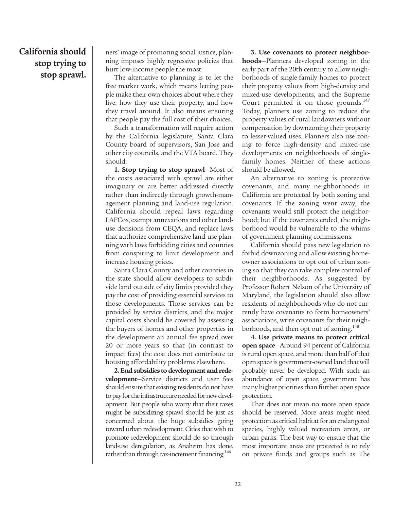## **California should stop trying to stop sprawl.**

ners' image of promoting social justice, planning imposes highly regressive policies that hurt low-income people the most.

The alternative to planning is to let the free market work, which means letting people make their own choices about where they live, how they use their property, and how they travel around. It also means ensuring that people pay the full cost of their choices.

Such a transformation will require action by the California legislature, Santa Clara County board of supervisors, San Jose and other city councils, and the VTA board. They should:

**1. Stop trying to stop sprawl**—Most of the costs associated with sprawl are either imaginary or are better addressed directly rather than indirectly through growth-management planning and land-use regulation. California should repeal laws regarding LAFCos, exempt annexations and other landuse decisions from CEQA, and replace laws that authorize comprehensive land-use planning with laws forbidding cities and counties from conspiring to limit development and increase housing prices.

Santa Clara County and other counties in the state should allow developers to subdivide land outside of city limits provided they pay the cost of providing essential services to those developments. Those services can be provided by service districts, and the major capital costs should be covered by assessing the buyers of homes and other properties in the development an annual fee spread over 20 or more years so that (in contrast to impact fees) the cost does not contribute to housing affordability problems elsewhere.

**2. End subsidies to development and redevelopment**—Service districts and user fees should ensure that existing residents do not have to pay for the infrastructure needed for new development. But people who worry that their taxes might be subsidizing sprawl should be just as concerned about the huge subsidies going toward urban redevelopment. Cities that wish to promote redevelopment should do so through land-use deregulation, as Anaheim has done, rather than through tax-increment financing.<sup>146</sup>

**3. Use covenants to protect neighborhoods**—Planners developed zoning in the early part of the 20th century to allow neighborhoods of single-family homes to protect their property values from high-density and mixed-use developments, and the Supreme Court permitted it on those grounds.<sup>147</sup> Today, planners use zoning to reduce the property values of rural landowners without compensation by downzoning their property to lesser-valued uses. Planners also use zoning to force high-density and mixed-use developments on neighborhoods of singlefamily homes. Neither of these actions should be allowed.

An alternative to zoning is protective covenants, and many neighborhoods in California are protected by both zoning and covenants. If the zoning went away, the covenants would still protect the neighborhood; but if the covenants ended, the neighborhood would be vulnerable to the whims of government planning commissions.

California should pass new legislation to forbid downzoning and allow existing homeowner associations to opt out of urban zoning so that they can take complete control of their neighborhoods. As suggested by Professor Robert Nelson of the University of Maryland, the legislation should also allow residents of neighborhoods who do not currently have covenants to form homeowners' associations, write covenants for their neighborhoods, and then opt out of zoning.<sup>148</sup>

**4. Use private means to protect critical open space**—Around 94 percent of California is rural open space, and more than half of that open space is government-owned land that will probably never be developed. With such an abundance of open space, government has many higher priorities than further open space protection.

That does not mean no more open space should be reserved. More areas might need protection as critical habitat for an endangered species, highly valued recreation areas, or urban parks. The best way to ensure that the most important areas are protected is to rely on private funds and groups such as The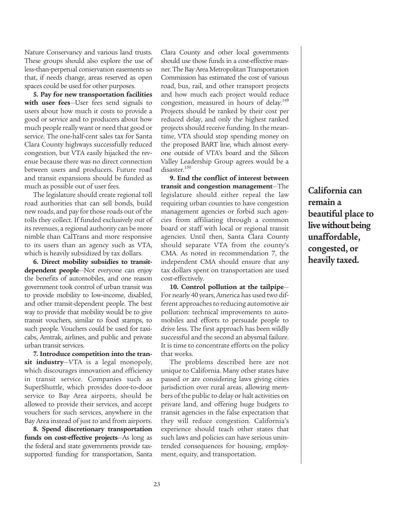Nature Conservancy and various land trusts. These groups should also explore the use of less-than-perpetual conservation easements so that, if needs change, areas reserved as open spaces could be used for other purposes.

**5. Pay for new transportation facilities with user fees**—User fees send signals to users about how much it costs to provide a good or service and to producers about how much people really want or need that good or service. The one-half-cent sales tax for Santa Clara County highways successfully reduced congestion, but VTA easily hijacked the revenue because there was no direct connection between users and producers. Future road and transit expansions should be funded as much as possible out of user fees.

The legislature should create regional toll road authorities that can sell bonds, build new roads, and pay for those roads out of the tolls they collect. If funded exclusively out of its revenues, a regional authority can be more nimble than CalTrans and more responsive to its users than an agency such as VTA, which is heavily subsidized by tax dollars.

**6. Direct mobility subsidies to transitdependent people**—Not everyone can enjoy the benefits of automobiles, and one reason government took control of urban transit was to provide mobility to low-income, disabled, and other transit-dependent people. The best way to provide that mobility would be to give transit vouchers, similar to food stamps, to such people. Vouchers could be used for taxicabs, Amtrak, airlines, and public and private urban transit services.

**7. Introduce competition into the transit industry**—VTA is a legal monopoly, which discourages innovation and efficiency in transit service. Companies such as SuperShuttle, which provides door-to-door service to Bay Area airports, should be allowed to provide their services, and accept vouchers for such services, anywhere in the Bay Area instead of just to and from airports.

**8. Spend discretionary transportation funds on cost-effective projects**—As long as the federal and state governments provide taxsupported funding for transportation, Santa Clara County and other local governments should use those funds in a cost-effective manner. The Bay Area Metropolitan Transportation Commission has estimated the cost of various road, bus, rail, and other transport projects and how much each project would reduce congestion, measured in hours of delay.<sup>149</sup> Projects should be ranked by their cost per reduced delay, and only the highest ranked projects should receive funding. In the meantime, VTA should stop spending money on the proposed BART line, which almost everyone outside of VTA's board and the Silicon Valley Leadership Group agrees would be a disaster.<sup>150</sup>

**9. End the conflict of interest between transit and congestion management**—The legislature should either repeal the law requiring urban counties to have congestion management agencies or forbid such agencies from affiliating through a common board or staff with local or regional transit agencies. Until then, Santa Clara County should separate VTA from the county's CMA. As noted in recommendation 7, the independent CMA should ensure that any tax dollars spent on transportation are used cost-effectively.

**10. Control pollution at the tailpipe**— For nearly 40 years, America has used two different approaches to reducing automotive air pollution: technical improvements to automobiles and efforts to persuade people to drive less. The first approach has been wildly successful and the second an abysmal failure. It is time to concentrate efforts on the policy that works.

The problems described here are not unique to California. Many other states have passed or are considering laws giving cities jurisdiction over rural areas, allowing members of the public to delay or halt activities on private land, and offering huge budgets to transit agencies in the false expectation that they will reduce congestion. California's experience should teach other states that such laws and policies can have serious unintended consequences for housing, employment, equity, and transportation.

**California can remain a beautiful place to live without being unaffordable, congested, or heavily taxed.**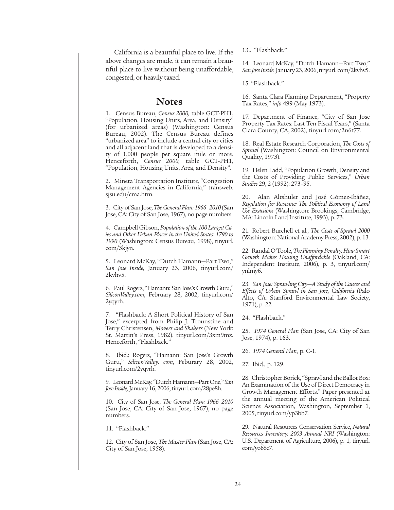California is a beautiful place to live. If the above changes are made, it can remain a beautiful place to live without being unaffordable, congested, or heavily taxed.

#### **Notes**

1. Census Bureau, *Census 2000,* table GCT-PH1, "Population, Housing Units, Area, and Density" (for urbanized areas) (Washington: Census Bureau, 2002). The Census Bureau defines "urbanized area" to include a central city or cities and all adjacent land that is developed to a density of 1,000 people per square mile or more. Henceforth, *Census 2000,* table GCT-PH1, "Population, Housing Units, Area, and Density".

2. Mineta Transportation Institute, "Congestion Management Agencies in California," transweb. sjsu.edu/cma.htm.

3. City of San Jose, *The General Plan: 1966–2010* (San Jose, CA: City of San Jose, 1967), no page numbers.

4. Campbell Gibson, *Population of the 100 Largest Cities and Other Urban Places in the United States: 1790 to 1990* (Washington: Census Bureau, 1998), tinyurl. com/3kjyn.

5. Leonard McKay, "Dutch Hamann—Part Two," *San Jose Inside,* January 23, 2006, tinyurl.com/ 2kvhv5.

6. Paul Rogers, "Hamann: San Jose's Growth Guru," *SiliconValley.com,* February 28, 2002, tinyurl.com/ 2yqyrh.

7. "Flashback: A Short Political History of San Jose," excerpted from Philip J. Trounstine and Terry Christensen, *Movers and Shakers* (New York: St. Martin's Press, 1982), tinyurl.com/3xm9mz. Henceforth, "Flashback."

8. Ibid.; Rogers, "Hamann: San Jose's Growth Guru," *SiliconValley. com,* Feburary 28, 2002, tinyurl.com/2yqyrh.

9. Leonard McKay, "Dutch Hamann—Part One," *San Jose Inside,*January 16, 2006, tinyurl. com/28pe8h.

10. City of San Jose, *The General Plan: 1966–2010* (San Jose, CA: City of San Jose, 1967), no page numbers.

11. "Flashback."

12. City of San Jose, *The Master Plan* (San Jose, CA: City of San Jose, 1958).

13.. "Flashback."

14. Leonard McKay, "Dutch Hamann—Part Two," *San Jose Inside,*January 23, 2006, tinyurl. com/2kvhv5.

15. "Flashback."

16. Santa Clara Planning Department, "Property Tax Rates," *info* 499 (May 1973).

17. Department of Finance, "City of San Jose Property Tax Rates: Last Ten Fiscal Years," (Santa Clara County, CA, 2002), tinyurl.com/2n6t77.

18. Real Estate Research Corporation, *The Costs of Sprawl* (Washington: Council on Environmental Quality, 1973).

19. Helen Ladd, "Population Growth, Density and the Costs of Providing Public Services," *Urban Studies* 29, 2 (1992): 273–95.

20. Alan Altshuler and José Gómez-Ibáñez, *Regulation for Revenue: The Political Economy of Land Use Exactions* (Washington: Brookings; Cambridge, MA: Lincoln Land Institute, 1993), p. 73.

21. Robert Burchell et al., *The Costs of Sprawl 2000* (Washington: National Academy Press, 2002), p. 13.

22. Randal O'Toole, *The Planning Penalty: How Smart Growth Makes Housing Unaffordable* (Oakland, CA: Independent Institute, 2006), p. 3, tinyurl.com/ ynlmy6.

23. *San Jose: Sprawling City—A Study of the Causes and Effects of Urban Sprawl in San Jose, California* (Palo Alto, CA: Stanford Environmental Law Society, 1971), p. 22.

24. "Flashback."

25. *1974 General Plan* (San Jose, CA: City of San Jose, 1974), p. 163.

26. *1974 General Plan,* p. C-1.

27. Ibid.*,* p. 129.

28. Christopher Borick, "Sprawl and the Ballot Box: An Examination of the Use of Direct Democracy in Growth Management Efforts." Paper presented at the annual meeting of the American Political Science Association, Washington, September 1, 2005, tinyurl.com/yp3bb7.

29. Natural Resources Conservation Service, *Natural Resources Inventory: 2003 Annual NRI* (Washington: U.S. Department of Agriculture, 2006), p. 1, tinyurl. com/yo68c7.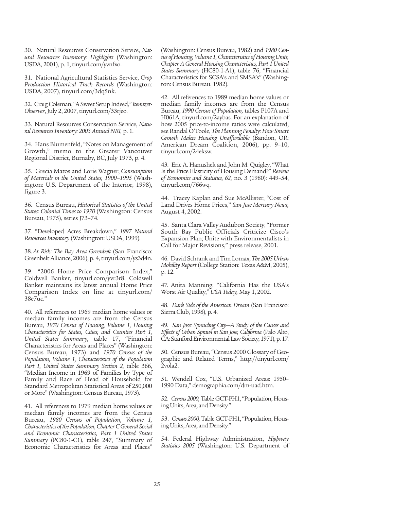30. Natural Resources Conservation Service, *Natural Resources Inventory: Highlights* (Washington: USDA, 2001), p. 1, tinyurl.com/yvnfxo.

31. National Agricultural Statistics Service, *Crop Production Historical Track Records* (Washington: USDA, 2007), tinyurl.com/3dq5nk.

32. Craig Coleman, "A Sweet Setup Indeed," *Itemizer-Observer*, July 2, 2007, tinyurl.com/33rjeo.

33. Natural Resources Conservation Service, *Natural Resources Inventory: 2003 Annual NRI,* p. 1.

34. Hans Blumenfeld, "Notes on Management of Growth," memo to the Greater Vancouver Regional District, Burnaby, BC, July 1973, p. 4.

35. Grecia Matos and Lorie Wagner, *Consumption of Materials in the United States, 1900–1995* (Washington: U.S. Department of the Interior, 1998), figure 3.

36. Census Bureau, *Historical Statistics of the United States: Colonial Times to 1970* (Washington: Census Bureau, 1975), series J73–74.

37. "Developed Acres Breakdown," *1997 Natural Resources Inventory* (Washington: USDA, 1999).

38.*At Risk: The Bay Area Greenbelt* (San Francisco: Greenbelt Alliance, 2006), p. 4, tinyurl.com/ys3d4n.

39. "2006 Home Price Comparison Index," Coldwell Banker, tinyurl.com/yvr3r8. Coldwell Banker maintains its latest annual Home Price Comparison Index on line at tinyurl.com/ 38e7uc."

40. All references to 1969 median home values or median family incomes are from the Census Bureau, *1970 Census of Housing, Volume 1, Housing Characteristics for States, Cities, and Counties Part 1, United States Summary,* table 17, "Financial Characteristics for Areas and Places" (Washington: Census Bureau, 1973) and *1970 Census of the Population, Volume 1, Characteristics of the Population Part 1, United States Summary Section 2,* table 366, "Median Income in 1969 of Families by Type of Family and Race of Head of Household for Standard Metropolitan Statistical Areas of 250,000 or More" (Washington: Census Bureau, 1973).

41. All references to 1979 median home values or median family incomes are from the Census Bureau, *1980 Census of Population, Volume 1, Characteristics of the Population, Chapter C General Social and Economic Characteristics, Part 1 United States Summary* (PC80-1-C1), table 247, "Summary of Economic Characteristics for Areas and Places"

(Washington: Census Bureau, 1982) and *1980 Census of Housing, Volume 1, Characteristics of Housing Units, Chapter A General Housing Characteristics, Part 1 United States Summary* (HC80-1-A1), table 76, "Financial Characteristics for SCSA's and SMSA's" (Washington: Census Bureau, 1982).

42. All references to 1989 median home values or median family incomes are from the Census Bureau, *1990 Census of Population,* tables P107A and H061A, tinyurl.com/2aybas. For an explanation of how 2005 price-to-income ratios were calculated, see Randal O'Toole, *The Planning Penalty: How Smart Growth Makes Housing Unaffordable* (Bandon, OR: American Dream Coalition, 2006), pp. 9–10, tinyurl.com/24eksw.

43. Eric A. Hanushek and John M. Quigley, "What Is the Price Elasticity of Housing Demand?" *Review of Economics and Statistics, 62,* no. 3 (1980): 449–54, tinyurl.com/766wq.

44. Tracey Kaplan and Sue McAllister, "Cost of Land Drives Home Prices," *San Jose Mercury News,* August 4, 2002.

45. Santa Clara Valley Audubon Society, "Former South Bay Public Officials Criticize Cisco's Expansion Plan; Unite with Environmentalists in Call for Major Revisions," press release, 2001.

46. David Schrank and Tim Lomax, *The 2005 Urban Mobility Report* (College Station: Texas A&M, 2005), p. 12.

47. Anita Manning, "California Has the USA's Worst Air Quality," *USA Today,* May 1, 2002.

48. *Dark Side of the American Dream* (San Francisco: Sierra Club, 1998), p. 4.

49. *San Jose: Sprawling City—A Study of the Causes and Effects of Urban Sprawl in San Jose, California* (Palo Alto, CA: Stanford Environmental Law Society, 1971), p. 17.

50. Census Bureau, "Census 2000 Glossary of Geographic and Related Terms," http://tinyurl.com/ 2vola2.

51. Wendell Cox, "U.S. Urbanized Areas: 1950– 1990 Data," demographia.com/dm-uad.htm.

52. *Census 2000,* Table GCT-PH1, "Population, Housing Units, Area, and Density."

53. *Census 2000,*Table GCT-PH1, "Population, Housing Units, Area, and Density."

54. Federal Highway Administration, *Highway Statistics 2005* (Washington: U.S. Department of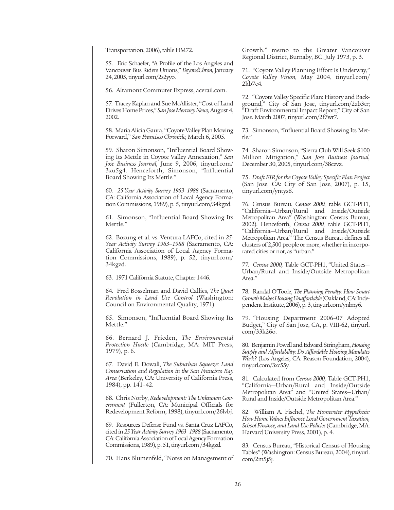Transportation, 2006), table HM72.

55. Eric Schaefer, "A Profile of the Los Angeles and Vancouver Bus Riders Unions," *BeyondChron,* January 24, 2005, tinyurl.com/2s2yyo.

56. Altamont Commuter Express, acerail.com.

57. Tracey Kaplan and Sue McAllister, "Cost of Land Drives Home Prices," *San Jose Mercury News,* August 4, 2002.

58. Maria Alicia Gaura, "Coyote Valley Plan Moving Forward," *San Francisco Chronicle,* March 6, 2005.

59. Sharon Simonson, "Influential Board Showing Its Mettle in Coyote Valley Annexation," *San Jose Business Journal,* June 9, 2006, tinyurl.com/ 3xu5g4. Henceforth, Simonson, "Influential Board Showing Its Mettle."

60. *25-Year Activity Survey 1963–1988* (Sacramento, CA: California Association of Local Agency Formation Commissions, 1989), p. 5, tinyurl.com/34kgzd.

61. Simonson, "Influential Board Showing Its Mettle."

62. Bozung et al. vs. Ventura LAFCo, cited in *25- Year Activity Survey 1963–1988* (Sacramento, CA: California Association of Local Agency Formation Commissions, 1989), p. 52, tinyurl.com/ 34kgzd.

63. 1971 California Statute, Chapter 1446.

64. Fred Bosselman and David Callies, *The Quiet Revolution in Land Use Control* (Washington: Council on Environmental Quality, 1971).

65. Simonson, "Influential Board Showing Its Mettle."

66. Bernard J. Frieden, *The Environmental Protection Hustle* (Cambridge, MA: MIT Press, 1979), p. 6.

67. David E. Dowall, *The Suburban Squeeze: Land Conservation and Regulation in the San Francisco Bay Area* (Berkeley, CA: University of California Press, 1984), pp. 141–42.

68. Chris Norby, *Redevelopment: The Unknown Government* (Fullerton, CA: Municipal Officials for Redevelopment Reform, 1998), tinyurl.com/26lvbj.

69. Resources Defense Fund vs. Santa Cruz LAFCo, cited in *25-Year Activity Survey 1963–1988* (Sacramento, CA: California Association of Local Agency Formation Commissions, 1989), p. 51, tinyurl.com /34kgzd.

70. Hans Blumenfeld, "Notes on Management of

Growth," memo to the Greater Vancouver Regional District, Burnaby, BC, July 1973, p. 3.

71. "Coyote Valley Planning Effort Is Underway," *Coyote Valley Vision,* May 2004, tinyurl.com/ 2kb7e4.

72. "Coyote Valley Specific Plan: History and Background," City of San Jose, tinyurl.com/2zb3tr; "Draft Environmental Impact Report," City of San Jose, March 2007, tinyurl.com/2f7wr7.

73. Simonson, "Influential Board Showing Its Met $t \cdot e$ "

74. Sharon Simonson, "Sierra Club Will Seek \$100 Million Mitigation," *San Jose Business Journal,* December 30, 2005, tinyurl.com/38czvz.

75. *Draft EIR for the Coyote Valley Specific Plan Project* (San Jose, CA: City of San Jose, 2007), p. 15, tinyurl.com/yntys8.

76. Census Bureau, *Census 2000,* table GCT-PH1, "California—Urban/Rural and Inside/Outside Metropolitan Area" (Washington: Census Bureau, 2002). Henceforth, *Census 2000,* table GCT-PH1, "California—Urban/Rural and Inside/Outside Metropolitan Area." The Census Bureau defines all clusters of 2,500 people or more, whether in incorporated cities or not, as "urban."

77. *Census 2000,* Table GCT-PH1, "United States— Urban/Rural and Inside/Outside Metropolitan Area."

78. Randal O'Toole, *The Planning Penalty: How Smart Growth Makes Housing Unaffordable* (Oakland, CA: Independent Institute, 2006), p. 3, tinyurl.com/ynlmy6.

79. "Housing Department 2006–07 Adopted Budget," City of San Jose, CA, p. VIII-62, tinyurl. com/33k26o.

80. Benjamin Powell and Edward Stringham, *Housing Supply and Affordability: Do Affordable Housing Mandates Work?* (Los Angeles, CA: Reason Foundation, 2004), tinyurl.com/3xc55y.

81. Calculated from *Census 2000,* Table GCT-PH1, "California—Urban/Rural and Inside/Outside Metropolitan Area" and "United States—Urban/ Rural and Inside/Outside Metropolitan Area."

82. William A. Fischel, *The Homevoter Hypothesis: How Home Values Influence Local Government Taxation, School Finance, and Land-Use Policies* (Cambridge, MA: Harvard University Press, 2001), p. 4.

83. Census Bureau, "Historical Census of Housing Tables" (Washington: Census Bureau, 2004), tinyurl. com/2m5j5j.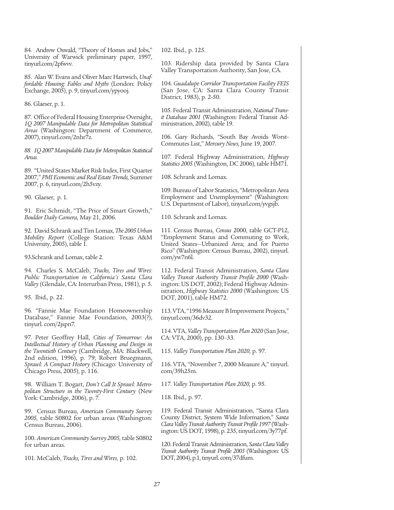84. Andrew Oswald, "Theory of Homes and Jobs," University of Warwick preliminary paper, 1997, tinyurl.com/2pfwvv.

85. Alan W. Evans and Oliver Marc Hartwich, *Unaffordable Housing: Fables and Myths* (London: Policy Exchange, 2005), p. 9, tinyurl.com/ypyooj.

86. Glaeser, p. 1.

87. Office of Federal Housing Enterprise Oversight, *1Q 2007 Manipulable Data for Metropolitan Statistical Areas* (Washington: Department of Commerce, 2007), tinyurl.com/2nhr7z.

*88. 1Q 2007 Manipulable Data for Metropolitan Statistical Areas.*

89. "United States Market Risk Index, First Quarter 2007," *PMI Economic and Real Estate Trends,* Summer 2007, p. 6, tinyurl.com/2h5vzy.

90. Glaeser, p. 1.

91. Eric Schmidt, "The Price of Smart Growth," *Boulder Daily Camera,* May 21, 2006.

92. David Schrank and Tim Lomax, *The 2005 Urban Mobility Report* (College Station: Texas A&M University, 2005), table 1.

93.Schrank and Lomax, table 2.

94. Charles S. McCaleb, *Tracks, Tires and Wires: Public Transportation in California's Santa Clara Valley* (Glendale, CA: Interurban Press, 1981), p. 5.

95. Ibid.*,* p. 22.

96. "Fannie Mae Foundation Homeownership Database," Fannie Mae Foundation, 2003(?), tinyurl. com/2jspn7.

97. Peter Geoffrey Hall, *Cities of Tomorrow: An Intellectual History of Urban Planning and Design in the Twentieth Century* (Cambridge, MA: Blackwell, 2nd edition, 1996), p. 79; Robert Bruegmann, *Sprawl: A Compact History* (Chicago: University of Chicago Press, 2005), p. 116.

98. William T. Bogart, *Don't Call It Sprawl: Metropolitan Structure in the Twenty-First Century* (New York: Cambridge, 2006), p. 7.

99. Census Bureau, *American Community Survey 2005,* table S0802 for urban areas (Washington: Census Bureau, 2006).

100. *American Community Survey 2005,*table S0802 for urban areas.

101. McCaleb, *Tracks, Tires and Wires,* p. 102.

102. Ibid.*,* p. 125.

103. Ridership data provided by Santa Clara Valley Transportation Authority, San Jose, CA.

104. *Guadalupe Corridor Transportation Facility FEIS* (San Jose, CA: Santa Clara County Transit District, 1983), p. 2-50.

105. Federal Transit Administration, *National Transit Database 2001* (Washington: Federal Transit Administration, 2002), table 19.

106. Gary Richards, "South Bay Avoids Worst-Commutes List," *Mercury News,* June 19, 2007.

107. Federal Highway Administration, *Highway Statistics 2005* (Washington, DC 2006), table HM71.

108. Schrank and Lomax.

109. Bureau of Labor Statistics, "Metropolitan Area Employment and Unemployment" (Washington: U.S. Department of Labor), tinyurl.com/yvgsjb.

110. Schrank and Lomax.

111. Census Bureau, *Census* 2000, table GCT-P12, "Employment Status and Commuting to Work, United States—Urbanized Area; and for Puerto Rico" (Washington: Census Bureau, 2002), tinyurl. com/yw7n6l.

112. Federal Transit Administration, *Santa Clara Valley Transit Authority Transit Profile 2000* (Washington: US DOT, 2002); Federal Highway Administration, *Highway Statistics 2000* (Washington: US DOT, 2001), table HM72.

113. VTA, "1996 Measure B Improvement Projects," tinyurl.com/36dv32.

114. VTA, *Valley Transportation Plan 2020* (San Jose, CA: VTA, 2000), pp. 130–33.

115. *Valley Transportation Plan 2020,* p. 97.

116. VTA, "November 7, 2000 Measure A," tinyurl. com/39h25m.

117. *Valley Transportation Plan 2020,* p. 95.

118. Ibid.*,* p. 97.

119. Federal Transit Administration, "Santa Clara County District, System Wide Information," *Santa Clara Valley Transit Authority Transit Profile 1997* (Washington: US DOT, 1998), p. 235, tinyurl.com/3y77pf.

120. Federal Transit Administration, *Santa Clara Valley Transit Authority Transit Profile 2003* (Washington: US DOT, 2004), p.1, tinyurl. com/37dfum.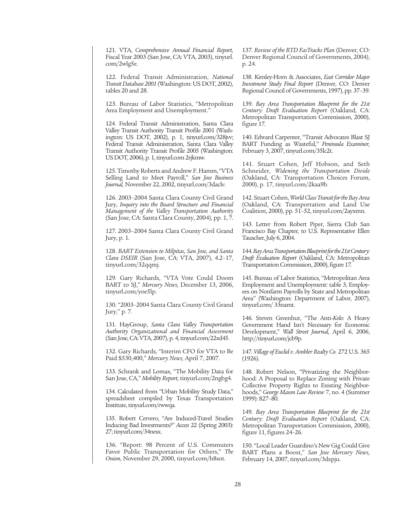121. VTA, *Comprehensive Annual Financial Report,* Fiscal Year 2003 (San Jose, CA: VTA, 2003), tinyurl. com/2wlg5e.

122. Federal Transit Administration, *National Transit Database 2001* (Washington: US DOT, 2002), tables 20 and 28.

123. Bureau of Labor Statistics, "Metropolitan Area Employment and Unemployment."

124. Federal Transit Administration, Santa Clara Valley Transit Authority Transit Profile 2001 (Washington: US DOT, 2002), p. 1, tinyurl.com/328jvv; Federal Transit Administration, Santa Clara Valley Transit Authority Transit Profile 2005 (Washington: US DOT, 2006), p. 1, tinyurl.com 2rjkmw.

125. Timothy Roberts and Andrew F. Hamm, "VTA Selling Land to Meet Payroll," *San Jose Business Journal,* November 22, 2002, tinyurl.com/3daclv.

126. 2003–2004 Santa Clara County Civil Grand Jury, *Inquiry into the Board Structure and Financial Management of the Valley Transportation Authority* (San Jose, CA: Santa Clara County, 2004), pp. 1, 7.

127. 2003–2004 Santa Clara County Civil Grand Jury, p. 1.

128. *BART Extension to Milpitas, San Jose, and Santa Clara DSEIR* (San Jose, CA: VTA, 2007), 4.2–17, tinyurl.com/32qqmj.

129. Gary Richards, "VTA Vote Could Doom BART to SJ," *Mercury News,* December 13, 2006, tinyurl.com/yoe5lp.

130. "2003–2004 Santa Clara County Civil Grand Jury," p. 7.

131. HayGroup, *Santa Clara Valley Transportation Authority Organizational and Financial Assessment* (San Jose, CA: VTA, 2007), p. 4, tinyurl.com/22xd45.

132. Gary Richards, "Interim CFO for VTA to Be Paid \$530,400," *Mercury News,* April 7, 2007.

133. Schrank and Lomax, "The Mobility Data for San Jose, CA," *Mobility Report,* tinyurl.com/2ngbg4.

134. Calculated from "Urban Mobility Study Data," spreadsheet compiled by Texas Transportation Institute, tinyurl.com/rwwqa.

135. Robert Cervero, "Are Induced-Travel Studies Inducing Bad Investments?" *Access* 22 (Spring 2003): 27; tinyurl.com/34nesx.

136. "Report: 98 Percent of U.S. Commuters Favor Public Transportation for Others," *The Onion,* November 29, 2000, tinyurl.com/h8sot.

137. *Review of the RTD FasTracks Plan* (Denver, CO: Denver Regional Council of Governments, 2004), p. 24.

138. Kimley-Horn & Associates, *East Corridor Major Investment Study Final Report* (Denver, CO: Denver Regional Council of Governments, 1997), pp. 37–39.

139. *Bay Area Transportation Blueprint for the 21st Century: Draft Evaluation Report* (Oakland, CA: Metropolitan Transportation Commission, 2000), figure 17.

140. Edward Carpenter, "Transit Advocates Blast SJ BART Funding as Wasteful," *Peninsula Examiner,* February 3, 2007, tinyurl.com/35lc2t.

141. Stuart Cohen, Jeff Hobson, and Seth Schneider, *Widening the Transportation Divide* (Oakland, CA: Transportation Choices Forum, 2000), p. 17, tinyurl.com/2kaa9b.

142. Stuart Cohen, *World Class Transit for the Bay Area* (Oakland, CA: Transportation and Land Use Coalition, 2000), pp. 51–52, tinyurl.com/2ayxmn.

143. Letter from Robert Piper, Sierra Club San Francisco Bay Chapter, to U.S. Representative Ellen Tauscher, July 6, 2004.

144. *Bay Area Transportation Blueprint for the 21st Century: Draft Evaluation Report* (Oakland, CA: Metropolitan Transportation Commission, 2000), figure 17.

145. Bureau of Labor Statistics, "Metropolitan Area Employment and Unemployment: table 3, Employees on Nonfarm Payrolls by State and Metropolitan Area" (Washington: Department of Labor, 2007), tinyurl.com/ 33namt.

146. Steven Greenhut, "The Anti-*Kelo*: A Heavy Government Hand Isn't Necessary for Economic Development," *Wall Street Journal,* April 6, 2006, http://tinyurl.com/jcb9p.

147. *Village of Euclid v. Ambler Realty Co.* 272 U.S. 365 (1926).

148. Robert Nelson, "Privatizing the Neighborhood: A Proposal to Replace Zoning with Private Collective Property Rights to Existing Neighborhoods," *George Mason Law Review* 7, no. 4 (Summer 1999): 827–80.

149. *Bay Area Transportation Blueprint for the 21st Century: Draft Evaluation Report* (Oakland, CA: Metropolitan Transportation Commission, 2000), figure 11, figures 24–26.

150. "Local Leader Guardino's New Gig Could Give BART Plans a Boost," *San Jose Mercury News,* February 14, 2007, tinyurl.com/3dxpju.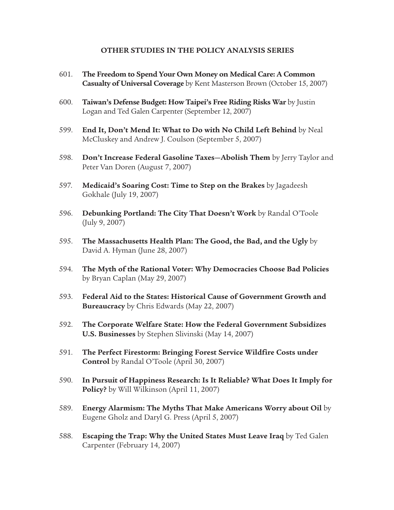#### **OTHER STUDIES IN THE POLICY ANALYSIS SERIES**

- 601. **The Freedom to Spend Your Own Money on Medical Care: A Common Casualty of Universal Coverage** by Kent Masterson Brown (October 15, 2007)
- 600. **Taiwan's Defense Budget: How Taipei's Free Riding Risks War** by Justin Logan and Ted Galen Carpenter (September 12, 2007)
- 599. **End It, Don't Mend It: What to Do with No Child Left Behind** by Neal McCluskey and Andrew J. Coulson (September 5, 2007)
- 598. **Don't Increase Federal Gasoline Taxes—Abolish Them** by Jerry Taylor and Peter Van Doren (August 7, 2007)
- 597. **Medicaid's Soaring Cost: Time to Step on the Brakes** by Jagadeesh Gokhale (July 19, 2007)
- 596. **Debunking Portland: The City That Doesn't Work** by Randal O'Toole (July 9, 2007)
- 595. **The Massachusetts Health Plan: The Good, the Bad, and the Ugly** by David A. Hyman (June 28, 2007)
- 594. **The Myth of the Rational Voter: Why Democracies Choose Bad Policies** by Bryan Caplan (May 29, 2007)
- 593. **Federal Aid to the States: Historical Cause of Government Growth and Bureaucracy** by Chris Edwards (May 22, 2007)
- 592. **The Corporate Welfare State: How the Federal Government Subsidizes U.S. Businesses** by Stephen Slivinski (May 14, 2007)
- 591. **The Perfect Firestorm: Bringing Forest Service Wildfire Costs under Control** by Randal O'Toole (April 30, 2007)
- 590. **In Pursuit of Happiness Research: Is It Reliable? What Does It Imply for Policy?** by Will Wilkinson (April 11, 2007)
- 589. **Energy Alarmism: The Myths That Make Americans Worry about Oil** by Eugene Gholz and Daryl G. Press (April 5, 2007)
- 588. **Escaping the Trap: Why the United States Must Leave Iraq** by Ted Galen Carpenter (February 14, 2007)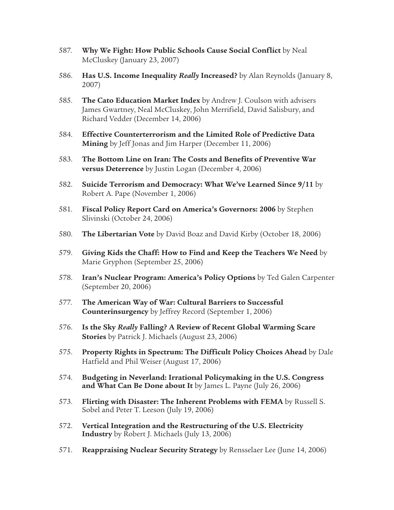- 587. **Why We Fight: How Public Schools Cause Social Conflict** by Neal McCluskey (January 23, 2007)
- 586. **Has U.S. Income Inequality** *Really* **Increased?** by Alan Reynolds (January 8, 2007)
- 585. **The Cato Education Market Index** by Andrew J. Coulson with advisers James Gwartney, Neal McCluskey, John Merrifield, David Salisbury, and Richard Vedder (December 14, 2006)
- 584. **Effective Counterterrorism and the Limited Role of Predictive Data Mining** by Jeff Jonas and Jim Harper (December 11, 2006)
- 583. **The Bottom Line on Iran: The Costs and Benefits of Preventive War versus Deterrence** by Justin Logan (December 4, 2006)
- 582. **Suicide Terrorism and Democracy: What We've Learned Since 9/11** by Robert A. Pape (November 1, 2006)
- 581. **Fiscal Policy Report Card on America's Governors: 2006** by Stephen Slivinski (October 24, 2006)
- 580. **The Libertarian Vote** by David Boaz and David Kirby (October 18, 2006)
- 579. **Giving Kids the Chaff: How to Find and Keep the Teachers We Need** by Marie Gryphon (September 25, 2006)
- 578. **Iran's Nuclear Program: America's Policy Options** by Ted Galen Carpenter (September 20, 2006)
- 577. **The American Way of War: Cultural Barriers to Successful Counterinsurgency** by Jeffrey Record (September 1, 2006)
- 576. **Is the Sky** *Really* **Falling? A Review of Recent Global Warming Scare Stories** by Patrick J. Michaels (August 23, 2006)
- 575. **Property Rights in Spectrum: The Difficult Policy Choices Ahead** by Dale Hatfield and Phil Weiser (August 17, 2006)
- 574. **Budgeting in Neverland: Irrational Policymaking in the U.S. Congress and What Can Be Done about It** by James L. Payne (July 26, 2006)
- 573. **Flirting with Disaster: The Inherent Problems with FEMA** by Russell S. Sobel and Peter T. Leeson (July 19, 2006)
- 572. **Vertical Integration and the Restructuring of the U.S. Electricity Industry** by Robert J. Michaels (July 13, 2006)
- 571. **Reappraising Nuclear Security Strategy** by Rensselaer Lee (June 14, 2006)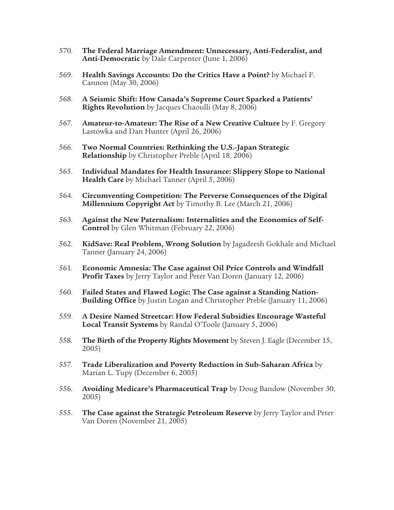- 570. **The Federal Marriage Amendment: Unnecessary, Anti-Federalist, and Anti-Democratic** by Dale Carpenter (June 1, 2006)
- 569. **Health Savings Accounts: Do the Critics Have a Point?** by Michael F. Cannon (May 30, 2006)
- 568. **A Seismic Shift: How Canada's Supreme Court Sparked a Patients' Rights Revolution** by Jacques Chaoulli (May 8, 2006)
- 567. **Amateur-to-Amateur: The Rise of a New Creative Culture** by F. Gregory Lastowka and Dan Hunter (April 26, 2006)
- 566. **Two Normal Countries: Rethinking the U.S.-Japan Strategic Relationship** by Christopher Preble (April 18, 2006)
- 565. **Individual Mandates for Health Insurance: Slippery Slope to National Health Care** by Michael Tanner (April 5, 2006)
- 564. **Circumventing Competition: The Perverse Consequences of the Digital Millennium Copyright Act** by Timothy B. Lee (March 21, 2006)
- 563. **Against the New Paternalism: Internalities and the Economics of Self-Control** by Glen Whitman (February 22, 2006)
- 562. **KidSave: Real Problem, Wrong Solution** by Jagadeesh Gokhale and Michael Tanner (January 24, 2006)
- 561. **Economic Amnesia: The Case against Oil Price Controls and Windfall Profit Taxes** by Jerry Taylor and Peter Van Doren (January 12, 2006)
- 560. **Failed States and Flawed Logic: The Case against a Standing Nation-Building Office** by Justin Logan and Christopher Preble (January 11, 2006)
- 559. **A Desire Named Streetcar: How Federal Subsidies Encourage Wasteful Local Transit Systems** by Randal O'Toole (January 5, 2006)
- 558. **The Birth of the Property Rights Movement** by Steven J. Eagle (December 15, 2005)
- 557. **Trade Liberalization and Poverty Reduction in Sub-Saharan Africa** by Marian L. Tupy (December 6, 2005)
- 556. **Avoiding Medicare's Pharmaceutical Trap** by Doug Bandow (November 30, 2005)
- 555. **The Case against the Strategic Petroleum Reserve** by Jerry Taylor and Peter Van Doren (November 21, 2005)